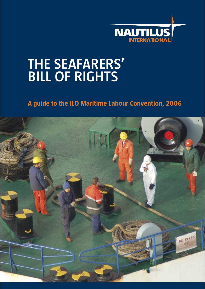![](_page_0_Picture_0.jpeg)

# **THE SEAFARERS' BILL OF RIGHTS**

# **A guide to the ILO Maritime Labour Convention, 2006**

![](_page_0_Picture_3.jpeg)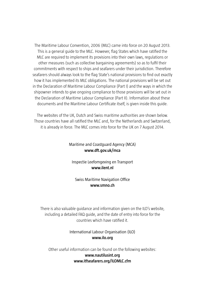The Maritime Labour Convention, 2006 (MLC) came into force on 20 August 2013. This is a general guide to the MLC. However, flag States which have ratified the MLC are required to implement its provisions into their own laws, regulations or other measures (such as collective bargaining agreements) so as to fulfil their commitments with respect to ships and seafarers under their jurisdiction. Therefore seafarers should always look to the flag State's national provisions to find out exactly how it has implemented its MLC obligations. The national provisions will be set out in the Declaration of Maritime Labour Compliance (Part I) and the ways in which the shipowner intends to give ongoing compliance to those provisions will be set out in the Declaration of Maritime Labour Compliance (Part II). Information about these documents and the Maritime Labour Certificate itself, is given inside this guide.

The websites of the UK, Dutch and Swiss maritime authorities are shown below. Those countries have all ratified the MLC and, for the Netherlands and Switzerland, it is already in force. The MLC comes into force for the UK on 7 August 2014.

#### Maritime and Coastguard Agency (MCA) **www.dft.gov.uk/mca**

Inspectie Leefomgeving en Transport **www.ilent.nl**

Swiss Maritime Navigation Office **www.smno.ch**

There is also valuable guidance and information given on the ILO's website, including a detailed FAQ guide, and the date of entry into force for the countries which have ratified it.

#### International Labour Organisation (ILO) **www.ilo.org**

Other useful information can be found on the following websites: **www.nautilusint.org www.itfseafarers.org/ILOMLC.cfm**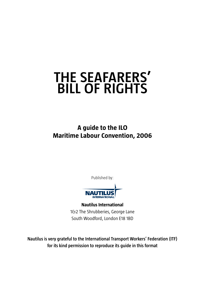# **THE SEAFARERS' BILL OF RIGHTS**

**A guide to the ILO Maritime Labour Convention, 2006**

Published by:

![](_page_2_Picture_3.jpeg)

**Nautilus International** 1&2 The Shrubberies, George Lane South Woodford, London E18 1BD

**Nautilus is very grateful to the International Transport Workers' Federation (ITF) for its kind permission to reproduce its guide in this format**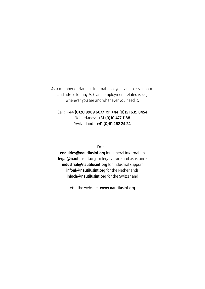As a member of Nautilus International you can access support and advice for any MLC and employment-related issue, wherever you are and whenever you need it.

Call: **+44 (0)20 8989 6677** or **+44 (0)151 639 8454** Netherlands: **+31 (0)10 477 1188** Switzerland: **+41 (0)61 262 24 24**

Email:

**enquiries@nautilusint.org** for general information **legal@nautilusint.org** for legal advice and assistance **industrial@nautilusint.org** for industrial support **infonl@nautilusint.org** for the Netherlands **infoch@nautilusint.org** for the Switzerland

Visit the website: **www.nautilusint.org**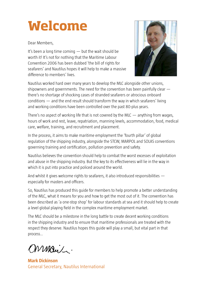# **Welcome**

Dear Members,

It's been a long time coming — but the wait should be worth it! It's not for nothing that the Maritime Labour Convention 2006 has been dubbed 'the bill of rights for seafarers' and Nautilus hopes it will help to make a massive difference to members' lives.

![](_page_4_Picture_3.jpeg)

Nautilus worked hard over many years to develop the MLC alongside other unions, shipowners and governments. The need for the convention has been painfully clear there's no shortage of shocking cases of stranded seafarers or atrocious onboard conditions — and the end result should transform the way in which seafarers' living and working conditions have been controlled over the past 80-plus years.

There's no aspect of working life that is not covered by the MLC  $-$  anything from wages, hours of work and rest, leave, repatriation, manning levels, accommodation, food, medical care, welfare, training, and recruitment and placement.

In the process, it aims to make maritime employment the 'fourth pillar' of global regulation of the shipping industry, alongside the STCW, MARPOL and SOLAS conventions governing training and certification, pollution prevention and safety.

Nautilus believes the convention should help to combat the worst excesses of exploitation and abuse in the shipping industry. But the key to its effectiveness will lie in the way in which it is put into practice and policed around the world.

And whilst it gives welcome rights to seafarers, it also introduced responsibilities especially for masters and officers.

So, Nautilus has produced this guide for members to help promote a better understanding of the MLC, what it means for you and how to get the most out of it. The convention has been described as 'a one-stop shop' for labour standards at sea and it should help to create a level global playing field in the complex maritime employment market.

The MLC should be a milestone in the long battle to create decent working conditions in the shipping industry and to ensure that maritime professionals are treated with the respect they deserve. Nautilus hopes this guide will play a small, but vital part in that process…

Mman/

**Mark Dickinson** General Secretary, Nautilus International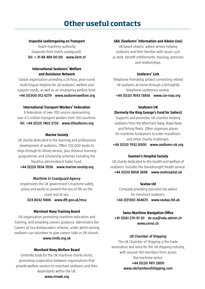# **Other useful contacts**

#### **Inspectie Leefomgeving en Transport**

Dutch maritime authority (separate from Dutch coastguard). **Tel: + 31 88 489 00 00 www.ilent.nl**

#### **International Seafarers' Welfare and Assistance Network**

Global organisation providing a 24 hour, year-round multi-lingual helpline for all seafarers' welfare and support needs, as well as an emergency welfare fund. **+44 (0)300 012 4279 www.seafarerswelfare.org**

#### **International Transport Workers' Federation**

A federation of over 700 unions representing over 4.5 million transport workers from 150 countries. **Tel: +44 (0)20 7403 2733 www.itfseafarers.org**

#### **Marine Society**

UK charity dedicated to the learning and professional development of seafarers. Offers 120,000 books to ships through its library service, plus distance-learning programmes and scholarship schemes including the Nautilus-administered Slater Fund.

**+44 (0)20 7654 7050 www.marine-society.org**

#### **Maritime & Coastguard Agency**

Implements the UK government's maritime safety policy and works to prevent the loss of life on the coast and at sea.

**023 8032 9486 www.dft.gov.uk/mca**

#### **Merchant Navy Training Board**

UK organisation promoting maritime education and training, and providing careers guidance. Administers the Careers at Sea Ambassadors scheme, under which serving seafarers can volunteer to give careers talks in UK schools.

#### **www.mntb.org.uk**

#### **Merchant Navy Welfare Board**

Umbrella body for the UK maritime charity sector, promoting cooperation between organisations that provide welfare services to merchant seafarers and their dependants within the UK.

#### **SAIL (Seafarers' Information and Advice Line)**

UK-based citizens' advice service helping seafarers and their families with issues such as debt, benefit entitlements, housing, pensions and relationships.

#### **Seafarers' Link**

Telephone friendship project connecting retired UK seafarers at home through a fortnightly telephone conference service. **+44 (0)20 7643 13856 www.csv-rsvp.org**

#### **Seafarers UK**

#### **(formerly the King George's Fund for Sailors)**

Supports and promotes UK charities helping seafarers from the Merchant Navy, Royal Navy and fishing fleets. Often organises places for maritime fundraisers to enter marathons and other charity challenges.

**+44 (0)20 7932 0000 www.seafarers-uk.org**

#### **Seamen's Hospital Society**

UK charity dedicated to the health and welfare of seafarers. Includes the Dreadnought health service. **+44 (0)20 8858 3696 www.seahospital.uk**

#### **Seatax Ltd**

Company providing specialist tax advice for merchant seafarers. **+44 (0)1302 364673 www.seatax.ltd.uk**

#### **Swiss Maritime Navigation Office +41 (0)61 270 91 20 dv-ssa@eda.admin.ch www.smno.ch**

#### **UK Chamber of Shipping**

The UK Chamber of Shipping is the trade association and voice for the UK shipping industry, with around 140 members from across the maritime sector.

#### **+44 (0)20 7417 2800 www.ukchamberofshipping.com**

**www.mnwb.org**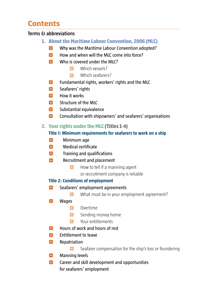# **Contents**

### **Terms & abbreviations**

- **1. About the Maritime Labour Convention, 2006 (MLC)** 
	- **O** Why was the Maritime Labour Convention adopted?
	- $\bullet$  How and when will the MLC come into force?
	- $\bullet$  Who is covered under the MLC?
		- **C** Which vessels?
		- Which seafarers?
	- **O** Fundamental rights, workers' rights and the MLC
	- **<sup>8</sup>** Seafarers' rights
	- **C** How it works
	- **C** Structure of the MLC
	- **O** Substantial equivalence
	- **O** Consultation with shipowners' and seafarers' organisations

### **2. Your rights under the MLC (Titles 1-4)**

### **Title 1: Minimum requirements for seafarers to work on a ship**

- **O** Minimum age
- **O** Medical certificate
- $\bullet$  Training and qualifications
- **C** Recruitment and placement
	- **•** How to tell if a manning agent
		- or recruitment company is reliable

### **Title 2: Conditions of employment**

- **C** Seafarers' employment agreements
	- **•** What must be in your employment agreement?
- **O** Wages
	- **C** Overtime
	- **•** Sending money home
	- **C** Your entitlements
- **C** Hours of work and hours of rest
- **O** Entitlement to leave
- **O** Repatriation
	- **•** Seafarer compensation for the ship's loss or foundering
- **O** Manning levels
- **Career and skill development and opportunities** for seafarers' employment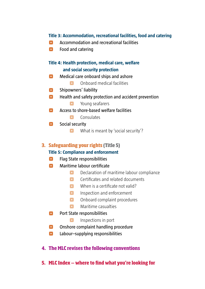### **Title 3: Accommodation, recreational facilities, food and catering**

- **C** Accommodation and recreational facilities
- **O** Food and catering

### **Title 4: Health protection, medical care, welfare and social security protection**

- **O** Medical care onboard ships and ashore
	- ^ Onboard medical facilities
- **O** Shipowners' liability
- **O** Health and safety protection and accident prevention
	- **•** Young seafarers
- **C** Access to shore-based welfare facilities
	- **Consulates**
- **P** Social security
	- **•** What is meant by 'social security'?

### **3. Safeguarding your rights (Title 5)**

### **Title 5: Compliance and enforcement**

- **O** Flag State responsibilities
- **O** Maritime labour certificate
	- **P** Declaration of maritime labour compliance
	- **C** Certificates and related documents
	- $\bullet$  When is a certificate not valid?
	- **P** Inspection and enforcement
	- **O** Onboard complaint procedures
	- **•** Maritime casualties
- **<sup>o</sup>** Port State responsibilities
	- **•** Inspections in port
- **O** Onshore complaint handling procedure
- **C** Labour–supplying responsibilities
- **4. The MLC revises the following conventions**
- **5. MLC Index where to find what you're looking for**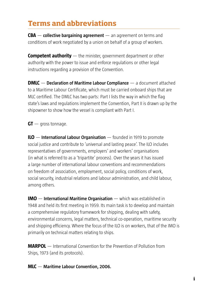# **Terms and abbreviations**

**CBA** — **collective bargaining agreement** — an agreement on terms and conditions of work negotiated by a union on behalf of a group of workers.

**Competent authority** — the minister, government department or other authority with the power to issue and enforce regulations or other legal instructions regarding a provision of the Convention.

**DMLC** — **Declaration of Maritime Labour Compliance** — a document attached to a Maritime Labour Certificate, which must be carried onboard ships that are MLC certified. The DMLC has two parts: Part I lists the way in which the flag state's laws and regulations implement the Convention, Part II is drawn up by the shipowner to show how the vessel is compliant with Part I.

**GT** — gross tonnage.

**ILO** — **International Labour Organisation** — founded in 1919 to promote social justice and contribute to 'universal and lasting peace'. The ILO includes representatives of governments, employers' and workers' organisations (in what is referred to as a 'tripartite' process). Over the years it has issued a large number of international labour conventions and recommendations on freedom of association, employment, social policy, conditions of work, social security, industrial relations and labour administration, and child labour, among others.

**IMO** — **International Maritime Organisation** — which was established in 1948 and held its first meeting in 1959. Its main task is to develop and maintain a comprehensive regulatory framework for shipping, dealing with safety, environmental concerns, legal matters, technical co-operation, maritime security and shipping efficiency. Where the focus of the ILO is on workers, that of the IMO is primarily on technical matters relating to ships.

**MARPOL** — International Convention for the Prevention of Pollution from Ships, 1973 (and its protocols).

**MLC** — **Maritime Labour Convention, 2006.**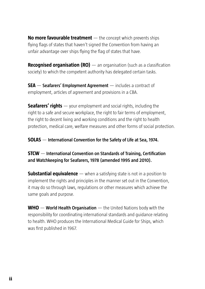**No more favourable treatment** — the concept which prevents ships flying flags of states that haven't signed the Convention from having an unfair advantage over ships flying the flag of states that have.

**Recognised organisation (RO)** — an organisation (such as a classification society) to which the competent authority has delegated certain tasks.

**SEA** — **Seafarers' Employment Agreement** — includes a contract of employment, articles of agreement and provisions in a CBA.

**Seafarers' rights** — your employment and social rights, including the right to a safe and secure workplace, the right to fair terms of employment, the right to decent living and working conditions and the right to health protection, medical care, welfare measures and other forms of social protection.

**SOLAS** — **International Convention for the Safety of Life at Sea, 1974.**

**STCW** — International Convention on Standards of Training, Certification **and Watchkeeping for Seafarers, 1978 (amended 1995 and 2010).**

**Substantial equivalence** — when a satisfying state is not in a position to implement the rights and principles in the manner set out in the Convention, it may do so through laws, regulations or other measures which achieve the same goals and purpose.

**WHO** — **World Health Organisation** — the United Nations body with the responsibility for coordinating international standards and guidance relating to health. WHO produces the International Medical Guide for Ships, which was first published in 1967.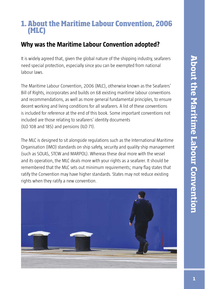# **1. About the Maritime Labour Convention, 2006 (MLC)**

# **Why was the Maritime Labour Convention adopted?**

It is widely agreed that, given the global nature of the shipping industry, seafarers need special protection, especially since you can be exempted from national labour laws.

The Maritime Labour Convention, 2006 (MLC), otherwise known as the Seafarers' Bill of Rights, incorporates and builds on 68 existing maritime labour conventions and recommendations, as well as more general fundamental principles, to ensure decent working and living conditions for all seafarers. A list of these conventions is included for reference at the end of this book. Some important conventions not included are those relating to seafarers' identity documents (ILO 108 and 185) and pensions (ILO 71).

The MLC is designed to sit alongside regulations such as the International Maritime Organisation (IMO) standards on ship safety, security and quality ship management (such as SOLAS, STCW and MARPOL). Whereas these deal more with the vessel and its operation, the MLC deals more with your rights as a seafarer. It should be remembered that the MLC sets out minimum requirements; many flag states that ratify the Convention may have higher standards. States may not reduce existing rights when they ratify a new convention.

![](_page_10_Picture_6.jpeg)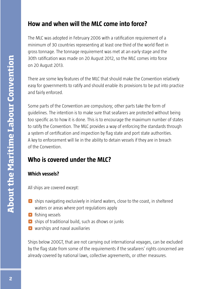# **How and when will the MLC come into force?**

The MLC was adopted in February 2006 with a ratification requirement of a minimum of 30 countries representing at least one third of the world fleet in gross tonnage. The tonnage requirement was met at an early stage and the 30th ratification was made on 20 August 2012, so the MLC comes into force on 20 August 2013.

There are some key features of the MLC that should make the Convention relatively easy for governments to ratify and should enable its provisions to be put into practice and fairly enforced.

Some parts of the Convention are compulsory; other parts take the form of guidelines. The intention is to make sure that seafarers are protected without being too specific as to how it is done. This is to encourage the maximum number of states to ratify the Convention. The MLC provides a way of enforcing the standards through a system of certification and inspection by flag state and port state authorities. A key to enforcement will lie in the ability to detain vessels if they are in breach of the Convention.

# **Who is covered under the MLC?**

# **Which vessels?**

All ships are covered except:

- $\bullet$  ships navigating exclusively in inland waters, close to the coast, in sheltered waters or areas where port regulations apply
- **O** fishing vessels
- $\bullet$  ships of traditional build, such as dhows or junks
- **O** warships and naval auxiliaries

Ships below 200GT, that are not carrying out international voyages, can be excluded by the flag state from some of the requirements if the seafarers' rights concerned are already covered by national laws, collective agreements, or other measures.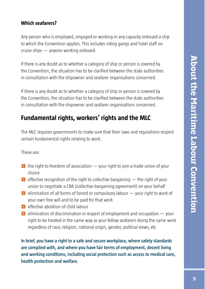### **Which seafarers?**

Any person who is employed, engaged or working in any capacity onboard a ship to which the Convention applies. This includes riding gangs and hotel staff on cruise ships — anyone working onboard.

If there is any doubt as to whether a category of ship or person is covered by the Convention, the situation has to be clarified between the state authorities in consultation with the shipowner and seafarer organisations concerned.

If there is any doubt as to whether a category of ship or person is covered by the Convention, the situation has to be clarified between the state authorities in consultation with the shipowner and seafarer organisations concerned.

# **Fundamental rights, workers' rights and the MLC**

The MLC requires governments to make sure that their laws and regulations respect certain fundamental rights relating to work.

These are:

- $\bullet$  the right to freedom of association your right to join a trade union of your choice
- $\bullet$  effective recognition of the right to collective bargaining  $-$  the right of your union to negotiate a CBA (collective bargaining agreement) on your behalf
- $\bullet$  elimination of all forms of forced or compulsory labour  $-$  your right to work of your own free will and to be paid for that work
- $\bullet$  effective abolition of child labour
- $\bullet$  elimination of discrimination in respect of employment and occupation  $-$  your right to be treated in the same way as your fellow seafarers doing the same work regardless of race, religion, national origin, gender, political views, etc

**In brief, you have a right to a safe and secure workplace, where safety standards are complied with, and where you have fair terms of employment, decent living and working conditions, including social protection such as access to medical care, health protection and welfare.**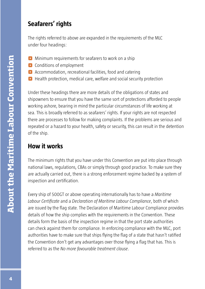# **Seafarers' rights**

The rights referred to above are expanded in the requirements of the MLC under four headings:

- $\bullet$  Minimum requirements for seafarers to work on a ship
- **•** Conditions of employment
- $\bullet$  Accommodation, recreational facilities, food and catering
- **O** Health protection, medical care, welfare and social security protection

Under these headings there are more details of the obligations of states and shipowners to ensure that you have the same sort of protections afforded to people working ashore, bearing in mind the particular circumstances of life working at sea. This is broadly referred to as seafarers' rights. If your rights are not respected there are processes to follow for making complaints. If the problems are serious and repeated or a hazard to your health, safety or security, this can result in the detention of the ship.

# **How it works**

The minimum rights that you have under this Convention are put into place through national laws, regulations, CBAs or simply through good practice. To make sure they are actually carried out, there is a strong enforcement regime backed by a system of inspection and certification.

Every ship of 500GT or above operating internationally has to have a *Maritime Labour Certifi cate* and a *Declaration of Maritime Labour Compliance*, both of which are issued by the flag state. The Declaration of Maritime Labour Compliance provides details of how the ship complies with the requirements in the Convention. These details form the basis of the inspection regime in that the port state authorities can check against them for compliance. In enforcing compliance with the MLC, port authorities have to make sure that ships flying the flag of a state that hasn't ratified the Convention don't get any advantages over those flying a flag that has. This is referred to as the *No more favourable treatment clause*.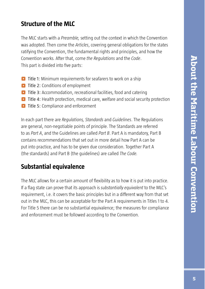# **Structure of the MLC**

The MLC starts with a *Preamble,* setting out the context in which the Convention was adopted. Then come the *Articles*, covering general obligations for the states ratifying the Convention, the fundamental rights and principles, and how the Convention works. After that, come *the Regulations* and the *Code*. This part is divided into five parts:

- **O** Title 1: Minimum requirements for seafarers to work on a ship
- **C** Title 2: Conditions of employment
- **O** Title 3: Accommodation, recreational facilities, food and catering
- ^ Title 4: Health protection, medical care, welfare and social security protection
- **C** Title 5: Compliance and enforcement

In each part there are *Regulations, Standards* and *Guidelines*. The Regulations are general, non-negotiable points of principle. The Standards are referred to as *Part A*, and the Guidelines are called *Part B*. Part A is mandatory, Part B contains recommendations that set out in more detail how Part A can be put into practice, and has to be given due consideration. Together Part A (the standards) and Part B (the guidelines) are called *The Code.*

# **Substantial equivalence**

The MLC allows for a certain amount of flexibility as to how it is put into practice. If a flag state can prove that its approach is *substantially equivalent* to the MLC's requirement, i.e. it covers the basic principles but in a different way from that set out in the MLC, this can be acceptable for the Part A requirements in Titles 1 to 4. For Title 5 there can be no substantial equivalence; the measures for compliance and enforcement must be followed according to the Convention.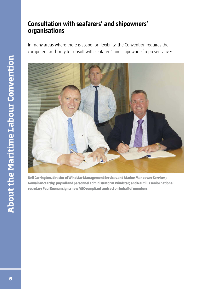# **Consultation with seafarers' and shipowners' organisations**

In many areas where there is scope for flexibility, the Convention requires the competent authority to consult with seafarers' and shipowners' representatives.

![](_page_15_Picture_2.jpeg)

**Neil Carrington, director of Windstar Management Services and Marine Manpower Services; Gowain McCarthy, payroll and personnel administrator at Windstar; and Nautilus senior national secretary Paul Keenan sign a new MLC-compliant contract on behalf of members**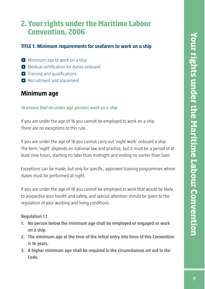# **2. Your rights under the Maritime Labour Convention, 2006**

# **TITLE 1: Minimum requirements for seafarers to work on a ship**

- $\Box$  Minimum age to work on a ship
- $\bullet$  Medical certification for duties onboard
- $\blacksquare$  Training and qualifications
- **C** Recruitment and placement

# **Minimum age**

#### *To ensure that no under age persons work on a ship*

If you are under the age of 16 you cannot be employed to work on a ship. There are no exceptions to this rule.

If you are under the age of 18 you cannot carry out 'night work' onboard a ship. The term 'night' depends on national law and practice, but it must be a period of at least nine hours, starting no later than midnight and ending no earlier than 5am.

Exceptions can be made, but only for specific, approved training programmes where duties must be performed at night.

If you are under the age of 18 you cannot be employed in work that would be likely to jeopardise your health and safety, and special attention should be given to the regulation of your working and living conditions.

**Regulation 1.1**

- **1. No person below the minimum age shall be employed or engaged or work on a ship.**
- **2. The minimum age at the time of the initial entry into force of this Convention is 16 years.**
- **3. A higher minimum age shall be required in the circumstances set out in the Code.**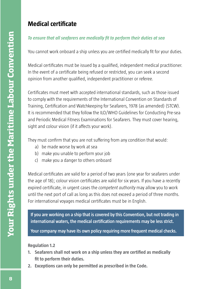# **Medical certificate**

# To ensure that all seafarers are medically fit to perform their duties at sea

You cannot work onboard a ship unless you are certified medically fit for your duties.

Medical certificates must be issued by a qualified, independent medical practitioner. In the event of a certificate being refused or restricted, you can seek a second opinion from another qualified, independent practitioner or referee.

Certificates must meet with accepted international standards, such as those issued to comply with the requirements of the International Convention on Standards of Training, Certification and Watchkeeping for Seafarers, 1978 (as amended) (STCW). It is recommended that they follow the ILO/WHO Guidelines for Conducting Pre-sea and Periodic Medical Fitness Examinations for Seafarers. They must cover hearing, sight and colour vision (if it affects your work).

They must confirm that you are not suffering from any condition that would:

- a) be made worse by work at sea
- b) make you unable to perform your job
- c) make you a danger to others onboard

Medical certificates are valid for a period of two years (one year for seafarers under the age of 18); colour vision certificates are valid for six years. If you have a recently expired certificate, in urgent cases the *competent guthority* may allow you to work until the next port of call as long as this does not exceed a period of three months. For international voyages medical certificates must be in English.

**If you are working on a ship that is covered by this Convention, but not trading in**  international waters, the medical certification requirements may be less strict.

**Your company may have its own policy requiring more frequent medical checks.**

### **Regulation 1.2**

- **1. Seafarers shall not work on a ship unless they are certified as medically fit to perform their duties.**
- **2. Exceptions can only be permitted as prescribed in the Code.**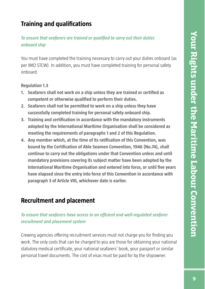# **Training and qualifications**

# **To ensure that seafarers are trained or qualified to carry out their duties** *onboard ship*

You must have completed the training necessary to carry out your duties onboard (as per IMO STCW). In addition, you must have completed training for personal safety onboard.

**Regulation 1.3**

- **1. Seafarers shall not work on a ship unless they are trained or certified as competent or otherwise qualified to perform their duties.**
- **2. Seafarers shall not be permitted to work on a ship unless they have successfully completed training for personal safety onboard ship.**
- **3. Training and certification in accordance with the mandatory instruments adopted by the International Maritime Organisation shall be considered as meeting the requirements of paragraphs 1 and 2 of this Regulation.**
- **4. Any member which, at the time of its ratification of this Convention, was bound by the Certification of Able Seamen Convention, 1946 (No.74), shall continue to carry out the obligations under that Convention unless and until mandatory provisions covering its subject matter have been adopted by the International Maritime Organisation and entered into force, or until five years have elapsed since the entry into force of this Convention in accordance with paragraph 3 of Article VIII, whichever date is earlier.**

# **Recruitment and placement**

## *To ensure that seafarers have access to an efficient and well-regulated seafarer recruitment and placement system*

Crewing agencies offering recruitment services must not charge you for finding you work. The only costs that can be charged to you are those for obtaining your national statutory medical certificate, your national seafarers' book, your passport or similar personal travel documents. The cost of visas must be paid for by the shipowner.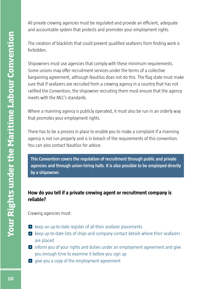All private crewing agencies must be regulated and provide an efficient, adequate and accountable system that protects and promotes your employment rights.

The creation of blacklists that could prevent qualified seafarers from finding work is forbidden.

Shipowners must use agencies that comply with these minimum requirements. Some unions may offer recruitment services under the terms of a collective bargaining agreement, although Nautilus does not do this. The flag state must make sure that if seafarers are recruited from a crewing agency in a country that has not ratified the Convention, the shipowner recruiting them must ensure that the agency meets with the MLC's standards.

Where a manning agency is publicly operated, it must also be run in an orderly way that promotes your employment rights.

There has to be a process in place to enable you to make a complaint if a manning agency is not run properly and is in breach of the requirements of this convention. You can also contact Nautilus for advice.

**This Convention covers the regulation of recruitment through public and private agencies and through union hiring halls. It is also possible to be employed directly by a shipowner.**

## **How do you tell if a private crewing agent or recruitment company is reliable?**

Crewing agencies must:

- $\bullet$  keep an up-to-date register of all their seafarer placements
- $\bullet$  keep up-to-date lists of ships and company contact details where their seafarers are placed
- ^ inform you of your rights and duties under an employment agreement and give you enough time to examine it before you sign up
- $\bullet$  give you a copy of the employment agreement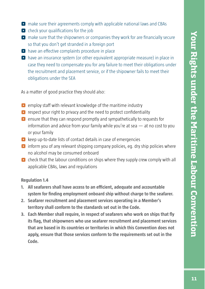- ^ make sure their agreements comply with applicable national laws and CBAs
- $\bullet$  check your qualifications for the job
- $\bullet$  make sure that the shipowners or companies they work for are financially secure so that you don't get stranded in a foreign port
- $\bullet$  have an effective complaints procedure in place
- $\bullet$  have an insurance system (or other equivalent appropriate measure) in place in case they need to compensate you for any failure to meet their obligations under the recruitment and placement service, or if the shipowner fails to meet their obligations under the SEA

As a matter of good practice they should also:

- $\bullet$  employ staff with relevant knowledge of the maritime industry
- $\bullet$  respect your right to privacy and the need to protect confidentiality
- $\bullet$  ensure that they can respond promptly and sympathetically to requests for information and advice from your family while you're at sea — at no cost to you or your family
- $\bullet$  keep up-to-date lists of contact details in case of emergencies
- $\bullet$  inform you of any relevant shipping company policies, eg. dry ship policies where no alcohol may be consumed onboard
- $\bullet$  check that the labour conditions on ships where they supply crew comply with all applicable CBAs, laws and regulations

#### **Regulation 1.4**

- **1.** All seafarers shall have access to an efficient, adequate and accountable system for finding employment onboard ship without charge to the seafarer.
- **2. Seafarer recruitment and placement services operating in a Member's territory shall conform to the standards set out in the Code.**
- **3. Each Member shall require, in respect of seafarers who work on ships that fly its flag, that shipowners who use seafarer recruitment and placement services that are based in its countries or territories in which this Convention does not apply, ensure that those services conform to the requirements set out in the Code.**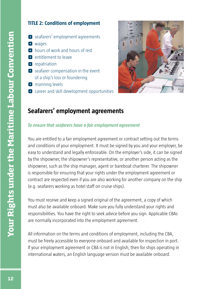### **TITLE 2: Conditions of employment**

- **O** seafarers' employment agreements
- **O** wages
- **O** hours of work and hours of rest
- **O** entitlement to leave
- **O** repatriation
- $\bullet$  seafarer compensation in the event of a ship's loss or foundering
- **O** manning levels
- **•** career and skill development opportunities

![](_page_21_Picture_10.jpeg)

# **Seafarers' employment agreements**

#### *To ensure that seafarers have a fair employment agreement*

You are entitled to a fair employment agreement or contract setting out the terms and conditions of your employment. It must be signed by you and your employer, be easy to understand and legally enforceable. On the employer's side, it can be signed by the shipowner, the shipowner's representative, or another person acting as the shipowner, such as the ship manager, agent or bareboat charterer. The shipowner is responsible for ensuring that your rights under the employment agreement or contract are respected even if you are also working for another company on the ship (e.g. seafarers working as hotel staff on cruise ships).

You must receive and keep a signed original of the agreement, a copy of which must also be available onboard. Make sure you fully understand your rights and responsibilities. You have the right to seek advice before you sign. Applicable CBAs are normally incorporated into the employment agreement.

All information on the terms and conditions of employment, including the CBA, must be freely accessible to everyone onboard and available for inspection in port. If your employment agreement or CBA is not in English, then for ships operating in international waters, an English language version must be available onboard.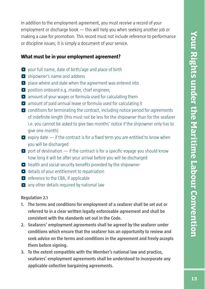In addition to the employment agreement, you must receive a record of your employment or discharge book — this will help you when seeking another job or making a case for promotion. This record must not include reference to performance or discipline issues; it is simply a document of your service.

### **What must be in your employment agreement?**

- $\bullet$  your full name, date of birth/age and place of birth
- **O** shipowner's name and address
- place where and date when the agreement was entered into
- **•** position onboard e.g. master, chief engineer,
- $\bullet$  amount of your wages or formula used for calculating them
- $\bullet$  amount of paid annual leave or formula used for calculating it
- $\bullet$  conditions for terminating the contract, including notice period for agreements of indefinite length (this must not be less for the shipowner than for the seafarer i.e. you cannot be asked to give two months' notice if the shipowner only has to give one month)
- $\bullet$  expiry date  $\bullet$  if the contract is for a fixed term you are entitled to know when you will be discharged
- $\bullet$  port of destination if the contract is for a specific voyage you should know how long it will be after your arrival before you will be discharged
- $\bullet$  health and social security benefits provided by the shipowner
- $\bullet$  details of your entitlement to repatriation
- $\bullet$  reference to the CBA, if applicable
- $\bullet$  any other details required by national law

#### **Regulation 2.1**

- **1. The terms and conditions for employment of a seafarer shall be set out or referred to in a clear written legally enforceable agreement and shall be consistent with the standards set out in the Code.**
- **2. Seafarers' employment agreements shall be agreed by the seafarer under conditions which ensure that the seafarer has an opportunity to review and seek advice on the terms and conditions in the agreement and freely accepts them before signing.**
- **3. To the extent compatible with the Member's national law and practice, seafarers' employment agreements shall be understood to incorporate any applicable collective bargaining agreements.**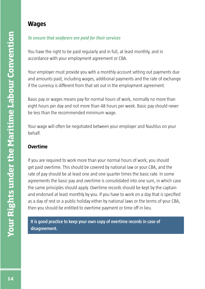# **Wages**

### *To ensure that seafarers are paid for their services*

You have the right to be paid regularly and in full, at least monthly, and in accordance with your employment agreement or CBA.

Your employer must provide you with a monthly account setting out payments due and amounts paid, including wages, additional payments and the rate of exchange if the currency is different from that set out in the employment agreement.

Basic pay or wages means pay for normal hours of work, normally no more than eight hours per day and not more than 48 hours per week. Basic pay should never be less than the recommended minimum wage.

Your wage will often be negotiated between your employer and Nautilus on your behalf.

# **Overtime**

If you are required to work more than your normal hours of work, you should get paid overtime. This should be covered by national law or your CBA, and the rate of pay should be at least one and one quarter times the basic rate. In some agreements the basic pay and overtime is consolidated into one sum, in which case the same principles should apply. Overtime records should be kept by the captain and endorsed at least monthly by you. If you have to work on a day that is specified as a day of rest or a public holiday either by national laws or the terms of your CBA, then you should be entitled to overtime payment or time off in lieu.

**It is good practice to keep your own copy of overtime records in case of disagreement.**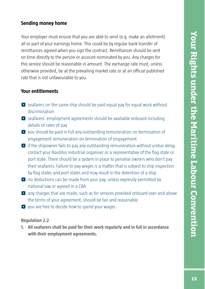### **Sending money home**

Your employer must ensure that you are able to send (e.g. make an allotment) all or part of your earnings home. This could be by regular bank transfer of remittances agreed when you sign the contract. Remittances should be sent on time directly to the person or account nominated by you. Any charges for this service should be reasonable in amount. The exchange rate must, unless otherwise provided, be at the prevailing market rate or at an official published rate that is not unfavourable to you.

### **Your entitlements**

- $\bullet$  seafarers on the same ship should be paid equal pay for equal work without discrimination
- ^ seafarers' employment agreements should be available onboard including details of rates of pay
- ^ you should be paid in full any outstanding remuneration on termination of engagement remuneration on termination of engagement
- $\bullet$  if the shipowner fails to pay any outstanding remuneration without undue delay, contact your Nautilus industrial organiser or a representative of the flag state or port state. There should be a system in place to penalise owners who don't pay their seafarers. Failure to pay wages is a matter that is subject to ship inspection by flag states and port states and may result in the detention of a ship
- $\bullet$  no deductions can be made from your pay, unless expressly permitted by national law or agreed in a CBA
- **O** any charges that are made, such as for services provided onboard over and above the terms of your agreement, should be fair and reasonable
- $\bullet$  you are free to decide how to spend your wages

### **Regulation 2.2**

**1. All seafarers shall be paid for their work regularly and in full in accordance with their employment agreements.**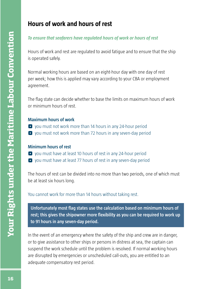# **Hours of work and hours of rest**

### *To ensure that seafarers have regulated hours of work or hours of rest*

Hours of work and rest are regulated to avoid fatigue and to ensure that the ship is operated safely.

Normal working hours are based on an eight-hour day with one day of rest per week; how this is applied may vary according to your CBA or employment agreement.

The flag state can decide whether to base the limits on maximum hours of work or minimum hours of rest.

#### **Maximum hours of work**

- $\bullet$  you must not work more than 14 hours in any 24-hour period
- **•** you must not work more than 72 hours in any seven-day period

#### **Minimum hours of rest**

- ^ you must have at least 10 hours of rest in any 24-hour period
- **O** you must have at least 77 hours of rest in any seven-day period

The hours of rest can be divided into no more than two periods, one of which must be at least six hours long.

### You cannot work for more than 14 hours without taking rest.

Unfortunately most flag states use the calculation based on minimum hours of rest; this gives the shipowner more flexibility as you can be required to work up **to 91 hours in any seven-day period.**

In the event of an emergency where the safety of the ship and crew are in danger, or to give assistance to other ships or persons in distress at sea, the captain can suspend the work schedule until the problem is resolved. If normal working hours are disrupted by emergencies or unscheduled call-outs, you are entitled to an adequate compensatory rest period.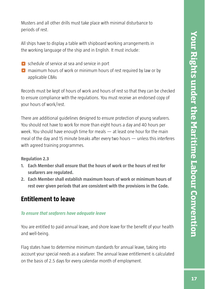Musters and all other drills must take place with minimal disturbance to periods of rest.

All ships have to display a table with shipboard working arrangements in the working language of the ship and in English. It must include:

- **O** schedule of service at sea and service in port
- $\bullet$  maximum hours of work or minimum hours of rest required by law or by applicable CBAs

Records must be kept of hours of work and hours of rest so that they can be checked to ensure compliance with the regulations. You must receive an endorsed copy of your hours of work/rest.

There are additional guidelines designed to ensure protection of young seafarers. You should not have to work for more than eight hours a day and 40 hours per week. You should have enough time for meals — at least one hour for the main meal of the day and 15 minute breaks after every two hours — unless this interferes with agreed training programmes.

### **Regulation 2.3**

- **1. Each Member shall ensure that the hours of work or the hours of rest for seafarers are regulated.**
- **2. Each Member shall establish maximum hours of work or minimum hours of rest over given periods that are consistent with the provisions in the Code.**

# **Entitlement to leave**

### *To ensure that seafarers have adequate leave*

You are entitled to paid annual leave, and shore leave for the benefit of your health and well-being.

Flag states have to determine minimum standards for annual leave, taking into account your special needs as a seafarer. The annual leave entitlement is calculated on the basis of 2.5 days for every calendar month of employment.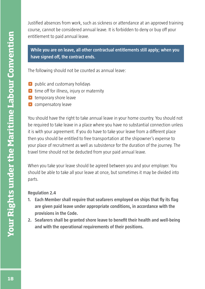Justified absences from work, such as sickness or attendance at an approved training course, cannot be considered annual leave. It is forbidden to deny or buy off your entitlement to paid annual leave.

**While you are on leave, all other contractual entitlements still apply; when you**  have signed off, the contract ends.

The following should not be counted as annual leave:

- **O** public and customary holidays
- $\bullet$  time off for illness, injury or maternity
- **O** temporary shore leave
- $\bullet$  compensatory leave

You should have the right to take annual leave in your home country. You should not be required to take leave in a place where you have no substantial connection unless it is with your agreement. If you do have to take your leave from a different place then you should be entitled to free transportation at the shipowner's expense to your place of recruitment as well as subsistence for the duration of the journey. The travel time should not be deducted from your paid annual leave.

When you take your leave should be agreed between you and your employer. You should be able to take all your leave at once, but sometimes it may be divided into parts.

#### **Regulation 2.4**

- **1. Each Member shall require that seafarers employed on ships that fly its flag are given paid leave under appropriate conditions, in accordance with the provisions in the Code.**
- **2. Seafarers shall be granted shore leave to benefit their health and well-being and with the operational requirements of their positions.**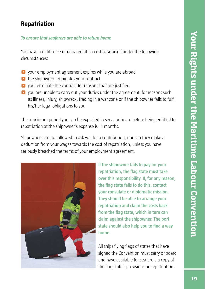# **Repatriation**

### *To ensure that seafarers are able to return home*

You have a right to be repatriated at no cost to yourself under the following circumstances:

- **•** your employment agreement expires while you are abroad
- $\bullet$  the shipowner terminates your contract
- $\bullet$  you terminate the contract for reasons that are justified
- **O** you are unable to carry out your duties under the agreement, for reasons such as illness, injury, shipwreck, trading in a war zone or if the shipowner fails to fulfil his/her legal obligations to you

The maximum period you can be expected to serve onboard before being entitled to repatriation at the shipowner's expense is 12 months.

Shipowners are not allowed to ask you for a contribution, nor can they make a deduction from your wages towards the cost of repatriation, unless you have seriously breached the terms of your employment agreement.

![](_page_28_Picture_10.jpeg)

**If the shipowner fails to pay for your repatriation, the flag state must take over this responsibility. If, for any reason, the fl ag state fails to do this, contact your consulate or diplomatic mission. They should be able to arrange your repatriation and claim the costs back**  from the flag state, which in turn can **claim against the shipowner. The port**  state should also help you to find a way **home.**

All ships flying flags of states that have signed the Convention must carry onboard and have available for seafarers a copy of the flag state's provisions on repatriation.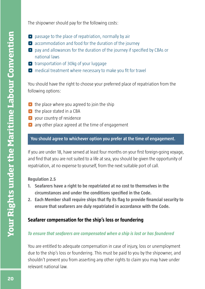The shipowner should pay for the following costs:

- $\bullet$  passage to the place of repatriation, normally by air
- $\bullet$  accommodation and food for the duration of the journey
- $\bullet$  pay and allowances for the duration of the journey if specified by CBAs or national laws
- **O** transportation of 30kg of your luggage
- $\bullet$  medical treatment where necessary to make you fit for travel

You should have the right to choose your preferred place of repatriation from the following options:

- $\bullet$  the place where you agreed to join the ship
- $\bullet$  the place stated in a CBA
- **•** your country of residence
- **O** any other place agreed at the time of engagement

### **You should agree to whichever option you prefer at the time of engagement.**

If you are under 18, have served at least four months on your first foreign-going voyage, and find that you are not suited to a life at sea, you should be given the opportunity of repatriation, at no expense to yourself, from the next suitable port of call.

#### **Regulation 2.5**

- **1. Seafarers have a right to be repatriated at no cost to themselves in the**  circumstances and under the conditions specified in the Code.
- **2. Each Member shall require ships that fly its flag to provide financial security to ensure that seafarers are duly repatriated in accordance with the Code.**

### **Seafarer compensation for the ship's loss or foundering**

#### *To ensure that seafarers are compensated when a ship is lost or has foundered*

You are entitled to adequate compensation in case of injury, loss or unemployment due to the ship's loss or foundering. This must be paid to you by the shipowner, and shouldn't prevent you from asserting any other rights to claim you may have under relevant national law.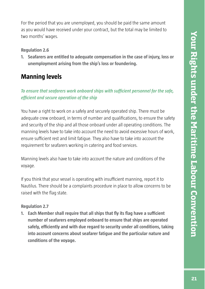For the period that you are unemployed, you should be paid the same amount as you would have received under your contract, but the total may be limited to two months' wages.

#### **Regulation 2.6**

**1. Seafarers are entitled to adequate compensation in the case of injury, loss or unemployment arising from the ship's loss or foundering.**

# **Manning levels**

## *To ensure that seafarers work onboard ships with sufficient personnel for the safe, effi cient and secure operation of the ship*

You have a right to work on a safely and securely operated ship. There must be adequate crew onboard, in terms of number and qualifications, to ensure the safety and security of the ship and all those onboard under all operating conditions. The manning levels have to take into account the need to avoid excessive hours of work, ensure sufficient rest and limit fatigue. They also have to take into account the requirement for seafarers working in catering and food services.

Manning levels also have to take into account the nature and conditions of the voyage.

If you think that your vessel is operating with insufficient manning, report it to Nautilus. There should be a complaints procedure in place to allow concerns to be raised with the flag state.

#### **Regulation 2.7**

**1. Each Member shall require that all ships that fly its flag have a sufficient number of seafarers employed onboard to ensure that ships are operated safely, effi ciently and with due regard to security under all conditions, taking into account concerns about seafarer fatigue and the particular nature and conditions of the voyage.**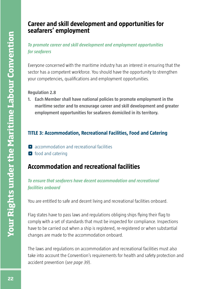# **Career and skill development and opportunities for seafarers' employment**

*To promote career and skill development and employment opportunities for seafarers*

Everyone concerned with the maritime industry has an interest in ensuring that the sector has a competent workforce. You should have the opportunity to strengthen your competencies, qualifications and employment opportunities.

**Regulation 2.8**

**1. Each Member shall have national policies to promote employment in the maritime sector and to encourage career and skill development and greater employment opportunities for seafarers domiciled in its territory.**

# **TITLE 3: Accommodation, Recreational Facilities, Food and Catering**

- $\bullet$  accommodation and recreational facilities
- **o** food and catering

# **Accommodation and recreational facilities**

# *To ensure that seafarers have decent accommodation and recreational facilities onboard*

You are entitled to safe and decent living and recreational facilities onboard.

Flag states have to pass laws and regulations obliging ships flying their flag to comply with a set of standards that must be inspected for compliance. Inspections have to be carried out when a ship is registered, re-registered or when substantial changes are made to the accommodation onboard.

The laws and regulations on accommodation and recreational facilities must also take into account the Convention's requirements for health and safety protection and accident prevention (*see page 39*).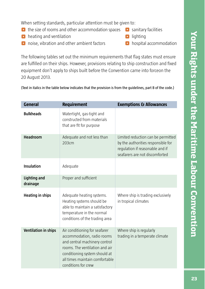When setting standards, particular attention must be given to:

- $\bullet$  the size of rooms and other accommodation spaces
- $\bullet$  heating and ventilation
- **O** noise, vibration and other ambient factors
- **O** sanitary facilities
- **o** lighting
- **o** hospital accommodation

The following tables set out the minimum requirements that flag states must ensure are fulfilled on their ships. However, provisions relating to ship construction and fixed equipment don't apply to ships built before the Convention came into forceon the 20 August 2013.

| <b>General</b>                  | <b>Requirement</b>                                                                                                                                                                                                       | <b>Exemptions &amp; Allowances</b>                                                                                                            |
|---------------------------------|--------------------------------------------------------------------------------------------------------------------------------------------------------------------------------------------------------------------------|-----------------------------------------------------------------------------------------------------------------------------------------------|
| <b>Bulkheads</b>                | Watertight, gas-tight and<br>constructed from materials<br>that are fit for purpose                                                                                                                                      |                                                                                                                                               |
| <b>Headroom</b>                 | Adequate and not less than<br>203cm                                                                                                                                                                                      | Limited reduction can be permitted<br>by the authorities responsible for<br>regulation if reasonable and if<br>seafarers are not discomforted |
| <b>Insulation</b>               | Adequate                                                                                                                                                                                                                 |                                                                                                                                               |
| <b>Lighting and</b><br>drainage | Proper and sufficient                                                                                                                                                                                                    |                                                                                                                                               |
| <b>Heating in ships</b>         | Adequate heating systems.<br>Heating systems should be<br>able to maintain a satisfactory<br>temperature in the normal<br>conditions of the trading area                                                                 | Where ship is trading exclusively<br>in tropical climates                                                                                     |
| <b>Ventilation in ships</b>     | Air conditioning for seafarer<br>accommodation, radio rooms<br>and central machinery control<br>rooms. The ventilation and air<br>conditioning system should at<br>all times maintain comfortable<br>conditions for crew | Where ship is regularly<br>trading in a temperate climate                                                                                     |

(Text in italics in the table below indicates that the provision is from the guidelines, part B of the code.)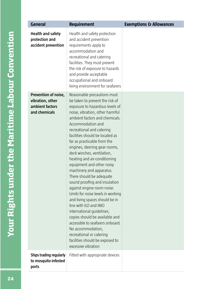| <b>General</b>                                                               | <b>Requirement</b>                                                                                                                                                                                                                                                                                                                                                                                                                                                                                                                                                                                                                                                                                                                                                                                                                                           | <b>Exemptions &amp; Allowances</b> |
|------------------------------------------------------------------------------|--------------------------------------------------------------------------------------------------------------------------------------------------------------------------------------------------------------------------------------------------------------------------------------------------------------------------------------------------------------------------------------------------------------------------------------------------------------------------------------------------------------------------------------------------------------------------------------------------------------------------------------------------------------------------------------------------------------------------------------------------------------------------------------------------------------------------------------------------------------|------------------------------------|
| <b>Health and safety</b><br>protection and<br>accident prevention            | Health and safety protection<br>and accident prevention<br>requirements apply to<br>accommodation and<br>recreational and catering<br>facilities. They must prevent<br>the risk of exposure to hazards<br>and provide acceptable<br>occupational and onboard<br>living environment for seafarers                                                                                                                                                                                                                                                                                                                                                                                                                                                                                                                                                             |                                    |
| Prevention of noise,<br>vibration, other<br>ambient factors<br>and chemicals | Reasonable precautions must<br>be taken to prevent the risk of<br>exposure to hazardous levels of<br>noise, vibration, other harmful<br>ambient factors and chemicals.<br>Accommodation and<br>recreational and catering<br>facilities should be located as<br>far as practicable from the<br>engines, steering gear rooms,<br>deck winches, ventilation,<br>heating and air-conditioning<br>equipment and other noisy<br>machinery and apparatus.<br>There should be adequate<br>sound proofing and insulation<br>against engine room noise.<br>Limits for noise levels in working<br>and living spaces should be in<br>line with ILO and IMO<br>international guidelines;<br>copies should be available and<br>accessible to seafarers onboard.<br>No accommodation,<br>recreational or catering<br>facilities should be exposed to<br>excessive vibration |                                    |
| Ships trading regularly<br>to mosquito-infested<br>ports                     | Fitted with appropriate devices                                                                                                                                                                                                                                                                                                                                                                                                                                                                                                                                                                                                                                                                                                                                                                                                                              |                                    |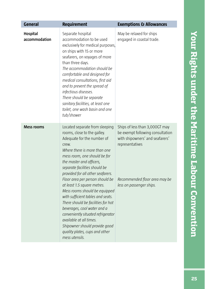| <b>General</b>                   | <b>Requirement</b>                                                                                                                                                                                                                                                                                                                                                                                                                                                                                                                                                                                                                        | <b>Exemptions &amp; Allowances</b>                                                                                                                                                    |
|----------------------------------|-------------------------------------------------------------------------------------------------------------------------------------------------------------------------------------------------------------------------------------------------------------------------------------------------------------------------------------------------------------------------------------------------------------------------------------------------------------------------------------------------------------------------------------------------------------------------------------------------------------------------------------------|---------------------------------------------------------------------------------------------------------------------------------------------------------------------------------------|
| <b>Hospital</b><br>accommodation | Separate hospital<br>accommodation to be used<br>exclusively for medical purposes,<br>on ships with 15 or more<br>seafarers, on voyages of more<br>than three days.<br>The accommodation should be<br>comfortable and designed for<br>medical consultations, first aid<br>and to prevent the spread of<br>infectious diseases.<br>There should be separate<br>sanitary facilities, at least one<br>toilet, one wash basin and one<br>tub/shower                                                                                                                                                                                           | May be relaxed for ships<br>engaged in coastal trade.                                                                                                                                 |
| <b>Mess rooms</b>                | Located separate from sleeping<br>rooms, close to the galley.<br>Adequate for the number of<br>crew.<br>Where there is more than one<br>mess room, one should be for<br>the master and officers,<br>separate facilities should be<br>provided for all other seafarers.<br>Floor area per person should be<br>at least 1.5 square metres.<br>Mess rooms should be equipped<br>with sufficient tables and seats.<br>There should be facilities for hot<br>beverages, cool water and a<br>conveniently situated refrigerator<br>available at all times.<br>Shipowner should provide good<br>quality plates, cups and other<br>mess utensils. | Ships of less than 3,000GT may<br>be exempt following consultation<br>with shipowners' and seafarers'<br>representatives<br>Recommended floor area may be<br>less on passenger ships. |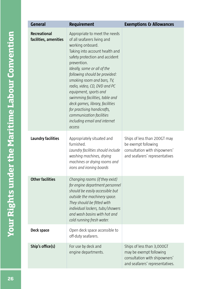| <b>General</b>                               | <b>Requirement</b>                                                                                                                                                                                                                                                                                                                                                                                                                                                                                   | <b>Exemptions &amp; Allowances</b>                                                                                        |
|----------------------------------------------|------------------------------------------------------------------------------------------------------------------------------------------------------------------------------------------------------------------------------------------------------------------------------------------------------------------------------------------------------------------------------------------------------------------------------------------------------------------------------------------------------|---------------------------------------------------------------------------------------------------------------------------|
| <b>Recreational</b><br>facilities, amenities | Appropriate to meet the needs<br>of all seafarers living and<br>working onboard.<br>Taking into account health and<br>safety protection and accident<br>prevention.<br>Ideally, some or all of the<br>following should be provided:<br>smoking room and bars, TV,<br>radio, video, CD, DVD and PC<br>equipment, sports and<br>swimming facilities, table and<br>deck games, library, facilities<br>for practising handicrafts,<br>communication facilities<br>including email and internet<br>access |                                                                                                                           |
| <b>Laundry facilities</b>                    | Appropriately situated and<br>furnished.<br>Laundry facilities should include<br>washing machines, drying<br>machines or drying rooms and<br>irons and ironing boards                                                                                                                                                                                                                                                                                                                                | Ships of less than 200GT may<br>be exempt following<br>consultation with shipowners'<br>and seafarers' representatives    |
| <b>Other facilities</b>                      | Changing rooms (if they exist)<br>for engine department personnel<br>should be easily accessible but<br>outside the machinery space.<br>They should be fitted with<br>individual lockers, tubs/showers<br>and wash basins with hot and<br>cold running fresh water.                                                                                                                                                                                                                                  |                                                                                                                           |
| Deck space                                   | Open deck space accessible to<br>off-duty seafarers.                                                                                                                                                                                                                                                                                                                                                                                                                                                 |                                                                                                                           |
| Ship's office(s)                             | For use by deck and<br>engine departments.                                                                                                                                                                                                                                                                                                                                                                                                                                                           | Ships of less than 3,000GT<br>may be exempt following<br>consultation with shipowners'<br>and seafarers' representatives. |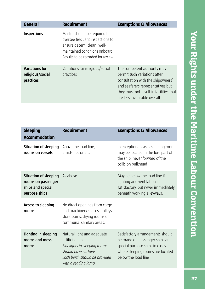| <b>General</b>                                         | <b>Requirement</b>                                                                                                                                                    | <b>Exemptions &amp; Allowances</b>                                                                                                                                                                              |
|--------------------------------------------------------|-----------------------------------------------------------------------------------------------------------------------------------------------------------------------|-----------------------------------------------------------------------------------------------------------------------------------------------------------------------------------------------------------------|
| <b>Inspections</b>                                     | Master should be required to<br>oversee frequent inspections to<br>ensure decent, clean, well-<br>maintained conditions onboard.<br>Results to be recorded for review |                                                                                                                                                                                                                 |
| <b>Variations for</b><br>religious/social<br>practices | Variations for religious/social<br>practices                                                                                                                          | The competent authority may<br>permit such variations after<br>consultation with the shipowners'<br>and seafarers representatives but<br>they must not result in facilities that<br>are less favourable overall |

| <b>Sleeping</b><br><b>Accommodation</b>                                                  | <b>Requirement</b>                                                                                                                                               | <b>Exemptions &amp; Allowances</b>                                                                                                                              |
|------------------------------------------------------------------------------------------|------------------------------------------------------------------------------------------------------------------------------------------------------------------|-----------------------------------------------------------------------------------------------------------------------------------------------------------------|
| <b>Situation of sleeping</b><br>rooms on vessels                                         | Above the load line,<br>amidships or aft.                                                                                                                        | In exceptional cases sleeping rooms<br>may be located in the fore part of<br>the ship, never forward of the<br>collision bulkhead                               |
| <b>Situation of sleeping</b><br>rooms on passenger<br>ships and special<br>purpose ships | As above.                                                                                                                                                        | May be below the load line if<br>lighting and ventilation is<br>satisfactory, but never immediately<br>beneath working alleyways.                               |
| <b>Access to sleeping</b><br>rooms                                                       | No direct openings from cargo<br>and machinery spaces, galleys,<br>storerooms, drying rooms or<br>communal sanitary areas.                                       |                                                                                                                                                                 |
| Lighting in sleeping<br>rooms and mess<br>rooms                                          | Natural light and adequate<br>artificial light.<br>Sidelights in sleeping rooms<br>should have curtains.<br>Each berth should be provided<br>with a reading lamp | Satisfactory arrangements should<br>be made on passenger ships and<br>special purpose ships in cases<br>where sleeping rooms are located<br>below the load line |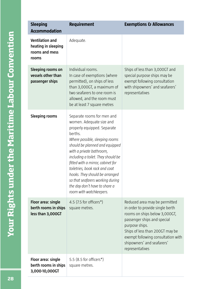| <b>Sleeping</b><br><b>Accommodation</b>                                  | <b>Requirement</b>                                                                                                                                                                                                                                                                                                                                                                                                                              | <b>Exemptions &amp; Allowances</b>                                                                                                                                                                                                                                            |
|--------------------------------------------------------------------------|-------------------------------------------------------------------------------------------------------------------------------------------------------------------------------------------------------------------------------------------------------------------------------------------------------------------------------------------------------------------------------------------------------------------------------------------------|-------------------------------------------------------------------------------------------------------------------------------------------------------------------------------------------------------------------------------------------------------------------------------|
| <b>Ventilation and</b><br>heating in sleeping<br>rooms and mess<br>rooms | Adequate.                                                                                                                                                                                                                                                                                                                                                                                                                                       |                                                                                                                                                                                                                                                                               |
| Sleeping rooms on<br>vessels other than<br>passenger ships               | Individual rooms.<br>In case of exemptions (where<br>permitted), on ships of less<br>than 3,000GT, a maximum of<br>two seafarers to one room is<br>allowed, and the room must<br>be at least 7 square metres                                                                                                                                                                                                                                    | Ships of less than 3,000GT and<br>special purpose ships may be<br>exempt following consultation<br>with shipowners' and seafarers'<br>representatives                                                                                                                         |
| <b>Sleeping rooms</b>                                                    | Separate rooms for men and<br>women. Adequate size and<br>properly equipped. Separate<br>berths.<br>Where possible, sleeping rooms<br>should be planned and equipped<br>with a private bathroom,<br>including a toilet. They should be<br>fitted with a mirror, cabinet for<br>toiletries, book rack and coat<br>hooks. They should be arranged<br>so that seafarers working during<br>the day don't have to share a<br>room with watchkeepers. |                                                                                                                                                                                                                                                                               |
| Floor area: single<br>berth rooms in ships<br>less than 3,000GT          | 4.5 (7.5 for officers*)<br>square metres.                                                                                                                                                                                                                                                                                                                                                                                                       | Reduced area may be permitted<br>in order to provide single berth<br>rooms on ships below 3,000GT,<br>passenger ships and special<br>purpose ships.<br>Ships of less than 200GT may be<br>exempt following consultation with<br>shipowners' and seafarers'<br>representatives |
| Floor area: single<br>berth rooms in ships<br>3,000-10,000GT             | 5.5 $(8.5$ for officers <sup>*</sup> )<br>square metres.                                                                                                                                                                                                                                                                                                                                                                                        |                                                                                                                                                                                                                                                                               |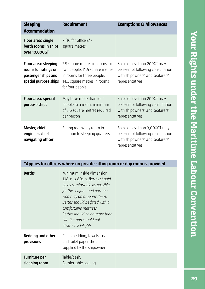| <b>Sleeping</b><br><b>Accommodation</b>                                                      | <b>Requirement</b>                                                                                                                               | <b>Exemptions &amp; Allowances</b>                                                                                       |
|----------------------------------------------------------------------------------------------|--------------------------------------------------------------------------------------------------------------------------------------------------|--------------------------------------------------------------------------------------------------------------------------|
| Floor area: single<br>berth rooms in ships<br>over 10,000GT                                  | 7 (10 for officers*)<br>square metres.                                                                                                           |                                                                                                                          |
| Floor area: sleeping<br>rooms for ratings on<br>passenger ships and<br>special purpose ships | 7.5 square metres in rooms for<br>two people, 11.5 square metres<br>in rooms for three people,<br>14.5 square metres in rooms<br>for four people | Ships of less than 200GT may<br>be exempt following consultation<br>with shipowners' and seafarers'<br>representatives   |
| Floor area: special<br>purpose ships                                                         | May have more than four<br>people to a room, minimum<br>of 3.6 square metres required<br>per person                                              | Ships of less than 200GT may<br>be exempt following consultation<br>with shipowners' and seafarers'<br>representatives   |
| Master, chief<br>engineer, chief<br>navigating officer                                       | Sitting room/day room in<br>addition to sleeping quarters                                                                                        | Ships of less than 3,000GT may<br>be exempt following consultation<br>with shipowners' and seafarers'<br>representatives |
|                                                                                              |                                                                                                                                                  |                                                                                                                          |
|                                                                                              | *Applies for officers where no private sitting room or day room is provided                                                                      |                                                                                                                          |

| <b>Berths</b>                          | Minimum inside dimension:<br>198cm x 80cm, Berths should<br>be as comfortable as possible<br>for the seafarer and partners<br>who may accompany them.<br>Berths should be fitted with a<br>comfortable mattress.<br>Berths should be no more than<br>two-tier and should not<br>obstruct sidelights |  |
|----------------------------------------|-----------------------------------------------------------------------------------------------------------------------------------------------------------------------------------------------------------------------------------------------------------------------------------------------------|--|
| <b>Bedding and other</b><br>provisions | Clean bedding, towels, soap<br>and toilet paper should be<br>supplied by the shipowner                                                                                                                                                                                                              |  |
| <b>Furniture per</b><br>sleeping room  | Table/desk.<br>Comfortable seating                                                                                                                                                                                                                                                                  |  |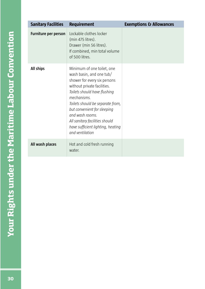| <b>Sanitary Facilities</b>  | <b>Requirement</b>                                                                                                                                                                                                                                                                                                                                   | <b>Exemptions &amp; Allowances</b> |
|-----------------------------|------------------------------------------------------------------------------------------------------------------------------------------------------------------------------------------------------------------------------------------------------------------------------------------------------------------------------------------------------|------------------------------------|
| <b>Furniture per person</b> | Lockable clothes locker<br>(min 475 litres).<br>Drawer (min 56 litres).<br>If combined, min total volume<br>of 500 litres.                                                                                                                                                                                                                           |                                    |
| All ships                   | Minimum of one toilet, one<br>wash basin, and one tub/<br>shower for every six persons<br>without private facilities.<br>Toilets should have flushing<br>mechanisms.<br>Toilets should be separate from,<br>but convenient for sleeping<br>and wash rooms.<br>All sanitary facilities should<br>have sufficient lighting, heating<br>and ventilation |                                    |
| All wash places             | Hot and cold fresh running<br>water.                                                                                                                                                                                                                                                                                                                 |                                    |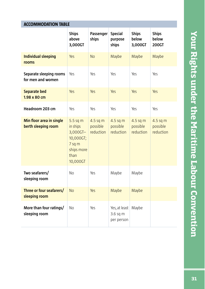|  | <b>ACCOMMODATION TABLE</b> |  |  |
|--|----------------------------|--|--|
|--|----------------------------|--|--|

|                                                 | <b>Ships</b><br>above<br>3,000GT                                                               | Passenger<br>ships                | <b>Special</b><br>purpose<br>ships      | <b>Ships</b><br>below<br>3,000GT  | <b>Ships</b><br>below<br><b>200GT</b> |
|-------------------------------------------------|------------------------------------------------------------------------------------------------|-----------------------------------|-----------------------------------------|-----------------------------------|---------------------------------------|
| <b>Individual sleeping</b><br>rooms             | Yes                                                                                            | <b>No</b>                         | Maybe                                   | Maybe                             | Maybe                                 |
| Separate sleeping rooms<br>for men and women    | Yes                                                                                            | Yes                               | Yes                                     | Yes                               | Yes                                   |
| <b>Separate bed</b><br>1.98 x 80 cm             | Yes                                                                                            | Yes                               | Yes                                     | Yes                               | Yes                                   |
| Headroom 203 cm                                 | Yes                                                                                            | Yes                               | Yes                                     | Yes                               | Yes                                   |
| Min floor area in single<br>berth sleeping room | $5.5$ sq m<br>in ships<br>$3,000$ GT-<br>10,000GT;<br>7 sq m<br>ships more<br>than<br>10,000GT | 4.5 sq m<br>possible<br>reduction | 4.5 sq m<br>possible<br>reduction       | 4.5 sq m<br>possible<br>reduction | $4.5$ sq m<br>possible<br>reduction   |
| Two seafarers/<br>sleeping room                 | No                                                                                             | Yes                               | Maybe                                   | Maybe                             |                                       |
| Three or four seafarers/<br>sleeping room       | <b>No</b>                                                                                      | Yes                               | Maybe                                   | Maybe                             |                                       |
| More than four ratings/<br>sleeping room        | No                                                                                             | Yes                               | Yes, at least<br>3.6 sq m<br>per person | Maybe                             |                                       |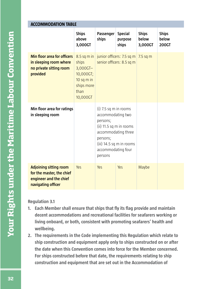| <b>ACCOMMODATION TABLE</b>                                                                                 |                                                                                                      |                                                                                                                                                                                     |                                                        |                                  |                                       |  |  |
|------------------------------------------------------------------------------------------------------------|------------------------------------------------------------------------------------------------------|-------------------------------------------------------------------------------------------------------------------------------------------------------------------------------------|--------------------------------------------------------|----------------------------------|---------------------------------------|--|--|
|                                                                                                            | <b>Ships</b><br>above<br>3,000GT                                                                     | Passenger<br>ships                                                                                                                                                                  | <b>Special</b><br>purpose<br>ships                     | <b>Ships</b><br>below<br>3,000GT | <b>Ships</b><br>below<br><b>200GT</b> |  |  |
| <b>Min floor area for officers</b><br>in sleeping room where<br>no private sitting room<br>provided        | $8.5$ sq m in<br>ships<br>$3,000$ GT-<br>10,000GT;<br>$10$ sq m in<br>ships more<br>than<br>10,000GT |                                                                                                                                                                                     | junior officers: 7.5 sq m<br>senior officers: 8.5 sq m | $7.5$ sq m                       |                                       |  |  |
| Min floor area for ratings<br>in sleeping room                                                             |                                                                                                      | $(i)$ 7.5 sq m in rooms<br>accommodating two<br>persons;<br>(ii) 11.5 sq m in rooms<br>accommodating three<br>persons;<br>(iii) 14.5 sq m in rooms<br>accommodating four<br>persons |                                                        |                                  |                                       |  |  |
| <b>Adjoining sitting room</b><br>for the master, the chief<br>engineer and the chief<br>navigating officer | Yes                                                                                                  | Yes                                                                                                                                                                                 | Yes                                                    | Maybe                            |                                       |  |  |

### **Regulation 3.1**

- **1. Each Member shall ensure that ships that fly its flag provide and maintain decent accommodations and recreational facilities for seafarers working or living onboard, or both, consistent with promoting seafarers' health and wellbeing.**
- **2. The requirements in the Code implementing this Regulation which relate to ship construction and equipment apply only to ships constructed on or after the date when this Convention comes into force for the Member concerned. For ships constructed before that date, the requirements relating to ship construction and equipment that are set out in the Accommodation of**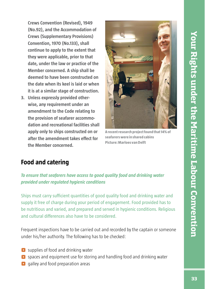**Crews Convention (Revised), 1949 (No.92), and the Accommodation of Crews (Supplementary Provisions) Convention, 1970 (No.133), shall continue to apply to the extent that they were applicable, prior to that date, under the law or practice of the Member concerned. A ship shall be deemed to have been constructed on the date when its keel is laid or when it is at a similar stage of construction.**

**3. Unless expressly provided otherwise, any requirement under an amendment to the Code relating to the provision of seafarer accommodation and recreational facilities shall apply only to ships constructed on or**  after the amendment takes effect for **the Member concerned.**

![](_page_42_Picture_3.jpeg)

**A recent research project found that 14% of seafarers were in shared cabins Picture: Marloes van Delft** 

# **Food and catering**

*To ensure that seafarers have access to good quality food and drinking water provided under regulated hygienic conditions*

Ships must carry sufficient quantities of good quality food and drinking water and supply it free of charge during your period of engagement. Food provided has to be nutritious and varied, and prepared and served in hygienic conditions. Religious and cultural differences also have to be considered.

Frequent inspections have to be carried out and recorded by the captain or someone under his/her authority. The following has to be checked:

- **•** supplies of food and drinking water
- ^ spaces and equipment use for storing and handling food and drinking water
- **O** galley and food preparation areas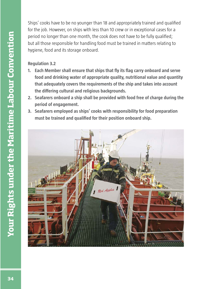Ships' cooks have to be no younger than 18 and appropriately trained and qualified for the job. However, on ships with less than 10 crew or in exceptional cases for a period no longer than one month, the cook does not have to be fully qualified; but all those responsible for handling food must be trained in matters relating to hygiene, food and its storage onboard.

### **Regulation 3.2**

- **1. Each Member shall ensure that ships that fly its flag carry onboard and serve food and drinking water of appropriate quality, nutritional value and quantity that adequately covers the requirements of the ship and takes into account the diff ering cultural and religious backgrounds.**
- **2. Seafarers onboard a ship shall be provided with food free of charge during the period of engagement.**
- **3. Seafarers employed as ships' cooks with responsibility for food preparation**  must be trained and qualified for their position onboard ship.

![](_page_43_Picture_5.jpeg)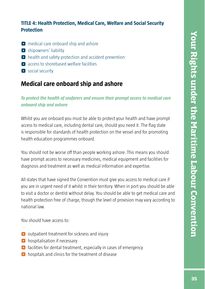## **TITLE 4: Health Protection, Medical Care, Welfare and Social Security Protection**

- **•** medical care onboard ship and ashore
- **•** shipowners' liability
- $\bullet$  health and safety protection and accident prevention
- **C** access to shorebased welfare facilities
- **o** social security

# **Medical care onboard ship and ashore**

# *To protect the health of seafarers and ensure their prompt access to medical care onboard ship and ashore*

Whilst you are onboard you must be able to protect your health and have prompt access to medical care, including dental care, should you need it. The flag state is responsible for standards of health protection on the vessel and for promoting health education programmes onboard.

You should not be worse off than people working ashore. This means you should have prompt access to necessary medicines, medical equipment and facilities for diagnosis and treatment as well as medical information and expertise.

All states that have signed the Convention must give you access to medical care if you are in urgent need of it whilst in their territory. When in port you should be able to visit a doctor or dentist without delay. You should be able to get medical care and health protection free of charge, though the level of provision may vary according to national law.

You should have access to:

- $\bullet$  outpatient treatment for sickness and injury
- $\bullet$  hospitalisation if necessary
- $\bullet$  facilities for dental treatment, especially in cases of emergency
- **O** hospitals and clinics for the treatment of disease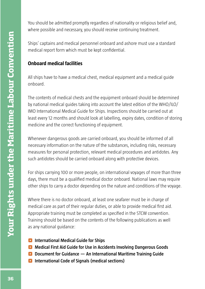You should be admitted promptly regardless of nationality or religious belief and, where possible and necessary, you should receive continuing treatment.

Ships' captains and medical personnel onboard and ashore must use a standard medical report form which must be kept confidential.

# **Onboard medical facilities**

All ships have to have a medical chest, medical equipment and a medical guide onboard.

The contents of medical chests and the equipment onboard should be determined by national medical guides taking into account the latest edition of the WHO/ILO/ IMO International Medical Guide for Ships. Inspections should be carried out at least every 12 months and should look at labelling, expiry dates, condition of storing medicine and the correct functioning of equipment.

Whenever dangerous goods are carried onboard, you should be informed of all necessary information on the nature of the substances, including risks, necessary measures for personal protection, relevant medical procedures and antidotes. Any such antidotes should be carried onboard along with protective devices.

For ships carrying 100 or more people, on international voyages of more than three days, there must be a qualified medical doctor onboard. National laws may require other ships to carry a doctor depending on the nature and conditions of the voyage.

Where there is no doctor onboard, at least one seafarer must be in charge of medical care as part of their regular duties, or able to provide medical first aid. Appropriate training must be completed as specified in the STCW convention. Training should be based on the contents of the following publications as well as any national guidance:

- **C** International Medical Guide for Ships
- **<sup>** $\bullet$ **</sup> Medical First Aid Guide for Use in Accidents Involving Dangerous Goods**
- **D** Document for Guidance An International Maritime Training Guide
- $\bullet$  International Code of Signals (medical sections)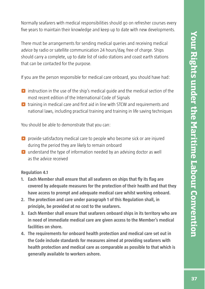Normally seafarers with medical responsibilities should go on refresher courses every five years to maintain their knowledge and keep up to date with new developments.

There must be arrangements for sending medical queries and receiving medical advice by radio or satellite communication 24 hours/day, free of charge. Ships should carry a complete, up to date list of radio stations and coast earth stations that can be contacted for the purpose.

If you are the person responsible for medical care onboard, you should have had:

- $\bullet$  instruction in the use of the ship's medical guide and the medical section of the most recent edition of the International Code of Signals
- $\bullet$  training in medical care and first aid in line with STCW and requirements and national laws, including practical training and training in life saving techniques

You should be able to demonstrate that you can:

- $\bullet$  provide satisfactory medical care to people who become sick or are injured during the period they are likely to remain onboard
- $\bullet$  understand the type of information needed by an advising doctor as well as the advice received

### **Regulation 4.1**

- **1. Each Member shall ensure that all seafarers on ships that fly its flag are covered by adequate measures for the protection of their health and that they have access to prompt and adequate medical care whilst working onboard.**
- **2. The protection and care under paragraph 1 of this Regulation shall, in principle, be provided at no cost to the seafarers.**
- **3. Each Member shall ensure that seafarers onboard ships in its territory who are in need of immediate medical care are given access to the Member's medical facilities on shore.**
- **4. The requirements for onboard health protection and medical care set out in the Code include standards for measures aimed at providing seafarers with health protection and medical care as comparable as possible to that which is generally available to workers ashore.**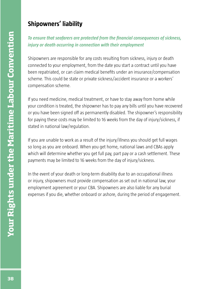# **Shipowners' liability**

# **To ensure that seafarers are protected from the financial consequences of sickness,** *injury or death occurring in connection with their employment*

Shipowners are responsible for any costs resulting from sickness, injury or death connected to your employment, from the date you start a contract until you have been repatriated, or can claim medical benefits under an insurance/compensation scheme. This could be state or private sickness/accident insurance or a workers' compensation scheme.

If you need medicine, medical treatment, or have to stay away from home while your condition is treated, the shipowner has to pay any bills until you have recovered or you have been signed off as permanently disabled. The shipowner's responsibility for paying these costs may be limited to 16 weeks from the day of injury/sickness, if stated in national law/regulation.

If you are unable to work as a result of the injury/illness you should get full wages so long as you are onboard. When you get home, national laws and CBAs apply which will determine whether you get full pay, part pay or a cash settlement. These payments may be limited to 16 weeks from the day of injury/sickness.

In the event of your death or long-term disability due to an occupational illness or injury, shipowners must provide compensation as set out in national law, your employment agreement or your CBA. Shipowners are also liable for any burial expenses if you die, whether onboard or ashore, during the period of engagement.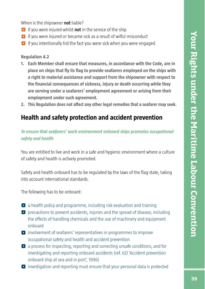When is the shipowner **not** liable?

- ^ if you were injured whilst **not** in the service of the ship
- $\bullet$  if you were injured or became sick as a result of wilful misconduct
- $\bullet$  if you intentionally hid the fact you were sick when you were engaged

**Regulation 4.2**

- **1. Each Member shall ensure that measures, in accordance with the Code, are in**  place on ships that fly its flag to provide seafarers employed on the ships with **a right to material assistance and support from the shipowner with respect to**  the financial consequences of sickness, injury or death occurring while they **are serving under a seafarers' employment agreement or arising from their employment under such agreement.**
- **2. This Regulation does not affect any other legal remedies that a seafarer may seek.**

# **Health and safety protection and accident prevention**

### *To ensure that seafarers' work environment onboard ships promotes occupational safety and health*

You are entitled to live and work in a safe and hygienic environment where a culture of safety and health is actively promoted.

Safety and health onboard has to be regulated by the laws of the flag state, taking into account international standards.

The following has to be onboard:

- $\bullet$  a health policy and programme, including risk evaluation and training
- $\bullet$  precautions to prevent accidents, injuries and the spread of disease, including the effects of handling chemicals and the use of machinery and equipment onboard
- ^ involvement of seafarers' representatives in programmes to improve occupational safety and health and accident prevention
- $\bullet$  a process for inspecting, reporting and correcting unsafe conditions, and for investigating and reporting onboard accidents (ref. ILO 'Accident prevention onboard ship at sea and in port', 1996)
- ^ investigation and reporting must ensure that your personal data is protected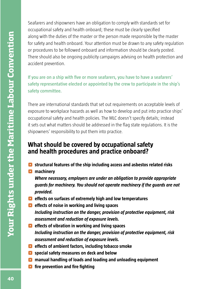Seafarers and shipowners have an obligation to comply with standards set for occupational safety and health onboard; these must be clearly specified along with the duties of the master or the person made responsible by the master for safety and health onboard. Your attention must be drawn to any safety regulation or procedures to be followed onboard and information should be clearly posted. There should also be ongoing publicity campaigns advising on health protection and accident prevention.

If you are on a ship with five or more seafarers, you have to have a seafarers' **safety representative elected or appointed by the crew to participate in the ship's safety committee.**

There are international standards that set out requirements on acceptable levels of exposure to workplace hazards as well as how to develop and put into practice ships' occupational safety and health policies. The MLC doesn't specify details; instead it sets out what matters should be addressed in the flag state regulations. It is the shipowners' responsibility to put them into practice.

# **What should be covered by occupational safety and health procedures and practice onboard?**

- $\bullet$  structural features of the ship including access and asbestos related risks
- **n** machinery

*Where necessary, employers are under an obligation to provide appropriate guards for machinery. You should not operate machinery if the guards are not provided.*

- **<b>e** effects on surfaces of extremely high and low temperatures
- $\bullet$  effects of noise in working and living spaces *Including instruction on the danger, provision of protective equipment, risk assessment and reduction of exposure levels.*
- $\bullet$  effects of vibration in working and living spaces *Including instruction on the danger, provision of protective equipment, risk assessment and reduction of exposure levels.*
- $\bullet$  effects of ambient factors, including tobacco smoke
- $\bullet$  special safety measures on deck and below
- $\bullet$  manual handling of loads and loading and unloading equipment
- **<sup>** $\bullet$ **</sup>** fire prevention and fire fighting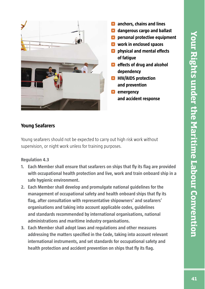![](_page_50_Picture_1.jpeg)

### **Young Seafarers**

Young seafarers should not be expected to carry out high risk work without supervision, or night work unless for training purposes.

**Regulation 4.3**

- **1. Each Member shall ensure that seafarers on ships that fly its flag are provided with occupational health protection and live, work and train onboard ship in a safe hygienic environment.**
- **2. Each Member shall develop and promulgate national guidelines for the**  management of occupational safety and health onboard ships that fly its flag, after consultation with representative shipowners' and seafarers' **organisations and taking into account applicable codes, guidelines and standards recommended by international organisations, national administrations and maritime industry organisations.**
- **3. Each Member shall adopt laws and regulations and other measures**  addressing the matters specified in the Code, taking into account relevant **international instruments, and set standards for occupational safety and**  health protection and accident prevention on ships that fly its flag.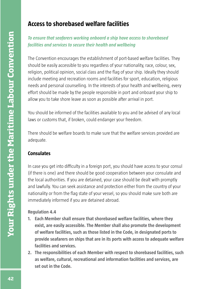# **Access to shorebased welfare facilities**

# *To ensure that seafarers working onboard a ship have access to shorebased facilities and services to secure their health and wellbeing*

The Convention encourages the establishment of port-based welfare facilities. They should be easily accessible to you regardless of your nationality, race, colour, sex, religion, political opinion, social class and the flag of your ship. Ideally they should include meeting and recreation rooms and facilities for sport, education, religious needs and personal counselling. In the interests of your health and wellbeing, every effort should be made by the people responsible in port and onboard your ship to allow you to take shore leave as soon as possible after arrival in port.

You should be informed of the facilities available to you and be advised of any local laws or customs that, if broken, could endanger your freedom.

There should be welfare boards to make sure that the welfare services provided are adequate.

# **Consulates**

In case you get into difficulty in a foreign port, you should have access to your consul (if there is one) and there should be good cooperation between your consulate and the local authorities. If you are detained, your case should be dealt with promptly and lawfully. You can seek assistance and protection either from the country of your nationality or from the flag state of your vessel, so you should make sure both are immediately informed if you are detained abroad.

### **Regulation 4.4**

- **1. Each Member shall ensure that shorebased welfare facilities, where they exist, are easily accessible. The Member shall also promote the development of welfare facilities, such as those listed in the Code, in designated ports to provide seafarers on ships that are in its ports with access to adequate welfare facilities and services.**
- **2. The responsibilities of each Member with respect to shorebased facilities, such as welfare, cultural, recreational and information facilities and services, are set out in the Code.**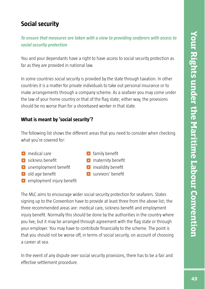# **Social security**

*To ensure that measures are taken with a view to providing seafarers with access to social security protection*

You and your dependants have a right to have access to social security protection as far as they are provided in national law.

In some countries social security is provided by the state through taxation. In other countries it is a matter for private individuals to take out personal insurance or to make arrangements through a company scheme. As a seafarer you may come under the law of your home country or that of the flag state; either way, the provisions should be no worse than for a shorebased worker in that state.

# **What is meant by 'social security'?**

The following list shows the different areas that you need to consider when checking what you're covered for:

- **O** medical care
- $\bullet$  sickness benefit
- $\bullet$  unemployment benefit
- $\bullet$  old age benefit
- $\bullet$  employment injury benefit
- $\bullet$  family benefit
- $\bullet$  maternity benefit
- $\bullet$  invalidity benefit
- $\bullet$  survivors' benefit

The MLC aims to encourage wider social security protection for seafarers. States signing up to the Convention have to provide at least three from the above list; the three recommended areas are: medical care, sickness benefit and employment injury benefit. Normally this should be done by the authorities in the country where you live, but it may be arranged through agreement with the flag state or through your employer. You may have to contribute financially to the scheme. The point is that you should not be worse off, in terms of social security, on account of choosing a career at sea.

In the event of any dispute over social security provisions, there has to be a fair and effective settlement procedure.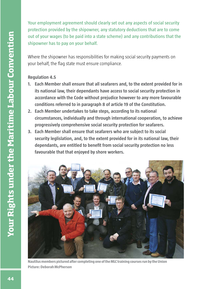**Your employment agreement should clearly set out any aspects of social security protection provided by the shipowner, any statutory deductions that are to come out of your wages (to be paid into a state scheme) and any contributions that the shipowner has to pay on your behalf.**

Where the shipowner has responsibilities for making social security payments on your behalf, the flag state must ensure compliance.

### **Regulation 4.5**

- **1. Each Member shall ensure that all seafarers and, to the extent provided for in its national law, their dependants have access to social security protection in accordance with the Code without prejudice however to any more favourable conditions referred to in paragraph 8 of article 19 of the Constitution.**
- **2. Each Member undertakes to take steps, according to its national circumstances, individually and through international cooperation, to achieve progressively comprehensive social security protection for seafarers.**
- **3. Each Member shall ensure that seafarers who are subject to its social security leglislation, and, to the extent provided for in its national law, their**  dependants, are entitled to benefit from social security protection no less **favourable that that enjoyed by shore workers.**

![](_page_53_Picture_6.jpeg)

**Nautilus members pictured after completing one of the MLC training courses run by the Union Picture: Deborah McPherson**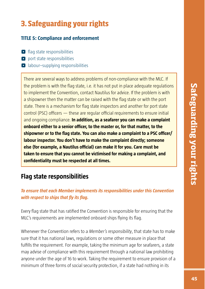# **3. Safeguarding your rights**

## **TITLE 5: Compliance and enforcement**

- $\Box$  flag state responsibilities
- **O** port state responsibilities
- **•** labour–supplying responsibilities

There are several ways to address problems of non-compliance with the MLC. If the problem is with the flag state, i.e. it has not put in place adequate regulations to implement the Convention, contact Nautilus for advice. If the problem is with a shipowner then the matter can be raised with the flag state or with the port state. There is a mechanism for flag state inspectors and another for port state  $\alpha$  control (PSC) officers  $-$  these are regular official requirements to ensure initial and ongoing compliance. **In addition, as a seafarer you can make a complaint onboard either to a senior officer, to the master or, for that matter, to the** shipowner or to the flag state. You can also make a complaint to a PSC officer/ **labour inspector. You don't have to make the complaint directly; someone else (for example, a Nautilus official) can make it for you. Care must be taken to ensure that you cannot be victimised for making a complaint, and confi dentiality must be respected at all times.**

# **Flag state responsibilities**

# *To ensure that each Member implements its responsibilities under this Convention with respect to ships that fly its flag.*

Every flag state that has ratified the Convention is responsible for ensuring that the MLC's requirements are implemented onboard ships flying its flag.

Whenever the Convention refers to a *Member's responsibility*, that state has to make sure that it has national laws, regulations or some other measure in place that fulfills the requirement. For example, taking the minimum age for seafarers, a state may advise of compliance with this requirement through a national law prohibiting anyone under the age of 16 to work. Taking the requirement to ensure provision of a minimum of three forms of social security protection, if a state had nothing in its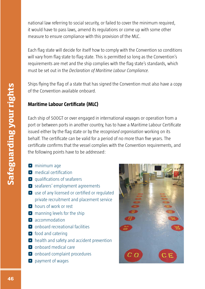national law referring to social security, or failed to cover the minimum required, it would have to pass laws, amend its regulations or come up with some other measure to ensure compliance with this provision of the MLC.

Each flag state will decide for itself how to comply with the Convention so conditions will vary from flag state to flag state. This is permitted so long as the Convention's requirements are met and the ship complies with the flag state's standards, which must be set out in the *Declaration of Maritime Labour Compliance.*

Ships flying the flag of a state that has signed the Convention must also have a copy of the Convention available onboard.

# **Maritime Labour Certificate (MLC)**

Each ship of 500GT or over engaged in international voyages or operation from a port or between ports in another country, has to have a Maritime Labour Certificate issued either by the flag state or by the *recognised organisation* working on its behalf. The certificate can be valid for a period of no more than five years. The certificate confirms that the vessel complies with the Convention requirements, and the following points have to be addressed:

- $\bullet$  minimum age
- $\bullet$  medical certification
- $\blacksquare$  qualifications of seafarers
- **•** seafarers' employment agreements
- $\bullet$  use of any licensed or certified or regulated private recruitment and placement service
- **O** hours of work or rest
- $\Box$  manning levels for the ship
- **C** accommodation
- **O** onboard recreational facilities
- $\bullet$  food and catering
- **•** health and safety and accident prevention
- $\bullet$  onboard medical care
- **O** onboard complaint procedures
- **O** payment of wages

![](_page_55_Picture_19.jpeg)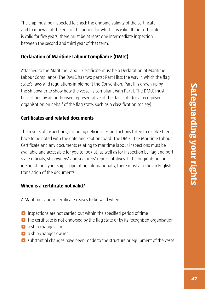The ship must be inspected to check the ongoing validity of the certificate and to renew it at the end of the period for which it is valid. If the certificate is valid for five years, there must be at least one intermediate inspection between the second and third year of that term.

### **Declaration of Maritime Labour Compliance (DMLC)**

Attached to the Maritime Labour Certificate must be a Declaration of Maritime Labour Compliance. The DMLC has two parts: Part I lists the way in which the flag state's laws and regulations implement the Convention, Part II is drawn up by the shipowner to show how the vessel is compliant with Part I. The DMLC must be certified by an authorised representative of the flag state (or a recognised organisation on behalf of the flag state, such as a classification society).

# **Certifi cates and related documents**

The results of inspections, including deficiencies and actions taken to resolve them, have to be noted with the date and kept onboard. The DMLC, the Maritime Labour Certificate and any documents relating to maritime labour inspections must be available and accessible for you to look at, as well as for inspection by flag and port state officials, shipowners' and seafarers' representatives. If the originals are not in English and your ship is operating internationally, there must also be an English translation of the documents.

# **When is a certificate not valid?**

A Maritime Labour Certificate ceases to be valid when:

- $\bullet$  inspections are not carried out within the specified period of time
- $\bullet$  the certificate is not endorsed by the flag state or by its recognised organisation
- $\bullet$  a ship changes flag
- $\bullet$  a ship changes owner
- ^ substantial changes have been made to the structure or equipment of the vessel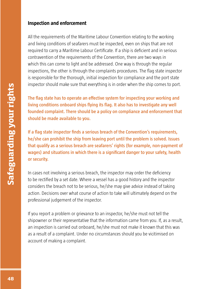### **Inspection and enforcement**

All the requirements of the Maritime Labour Convention relating to the working and living conditions of seafarers must be inspected, even on ships that are not required to carry a Maritime Labour Certificate. If a ship is deficient and in serious contravention of the requirements of the Convention, there are two ways in which this can come to light and be addressed. One way is through the regular inspections, the other is through the complaints procedures. The flag state inspector is responsible for the thorough, initial inspection for compliance and the port state inspector should make sure that everything is in order when the ship comes to port.

The flag state has to operate an effective system for inspecting your working and living conditions onboard ships flying its flag. It also has to investigate any well **founded complaint. There should be a policy on compliance and enforcement that should be made available to you.**

If a flag state inspector finds a serious breach of the Convention's requirements, **he/she can prohibit the ship from leaving port until the problem is solved. Issues that qualify as a serious breach are seafarers' rights (for example, non-payment of**  wages) and situations in which there is a significant danger to your safety, health **or security.**

In cases not involving a serious breach, the inspector may order the deficiency to be rectified by a set date. Where a vessel has a good history and the inspector considers the breach not to be serious, he/she may give advice instead of taking action. Decisions over what course of action to take will ultimately depend on the professional judgement of the inspector.

If you report a problem or grievance to an inspector, he/she must not tell the shipowner or their representative that the information came from you. If, as a result, an inspection is carried out onboard, he/she must not make it known that this was as a result of a complaint. Under no circumstances should you be vicitimised on account of making a complaint.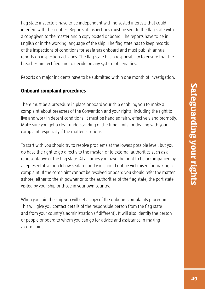flag state inspectors have to be independent with no vested interests that could interfere with their duties. Reports of inspections must be sent to the flag state with a copy given to the master and a copy posted onboard. The reports have to be in English or in the working language of the ship. The flag state has to keep records of the inspections of conditions for seafarers onboard and must publish annual reports on inspection activities. The flag state has a responsibility to ensure that the breaches are rectified and to decide on any system of penalties.

Reports on major incidents have to be submitted within one month of investigation.

# **Onboard complaint procedures**

There must be a procedure in place onboard your ship enabling you to make a complaint about breaches of the Convention and your rights, including the right to live and work in decent conditions. It must be handled fairly, effectively and promptly. Make sure you get a clear understanding of the time limits for dealing with your complaint, especially if the matter is serious.

To start with you should try to resolve problems at the lowest possible level, but you do have the right to go directly to the master, or to external authorities such as a representative of the flag state. At all times you have the right to be accompanied by a representative or a fellow seafarer and you should not be victimised for making a complaint. If the complaint cannot be resolved onboard you should refer the matter ashore, either to the shipowner or to the authorities of the flag state, the port state visited by your ship or those in your own country.

When you join the ship you will get a copy of the onboard complaints procedure. This will give you contact details of the responsible person from the flag state and from your country's administration (if different). It will also identify the person or people onboard to whom you can go for advice and assistance in making a complaint.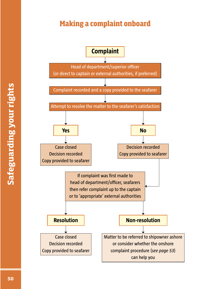# **Making a complaint onboard**

![](_page_59_Figure_1.jpeg)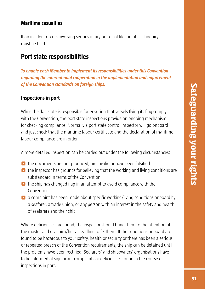### **Maritime casualties**

If an incident occurs involving serious injury or loss of life, an official inquiry must be held.

# **Port state responsibilities**

*To enable each Member to implement its responsibilities under this Convention regarding the international cooperation in the implementation and enforcement of the Convention standards on foreign ships.*

## **Inspections in port**

While the flag state is responsible for ensuring that vessels flying its flag comply with the Convention, the port state inspections provide an ongoing mechanism for checking compliance. Normally a port state control inspector will go onboard and just check that the maritime labour certificate and the declaration of maritime labour compliance are in order.

A more detailed inspection can be carried out under the following circumstances:

- $\bullet$  the documents are not produced, are invalid or have been falsified
- $\bullet$  the inspector has grounds for believing that the working and living conditions are substandard in terms of the Convention
- $\bullet$  the ship has changed flag in an attempt to avoid compliance with the Convention
- $\bullet$  a complaint has been made about specific working/living conditions onboard by a seafarer, a trade union, or any person with an interest in the safety and health of seafarers and their ship

Where deficiencies are found, the inspector should bring them to the attention of the master and give him/her a deadline to fix them. If the conditions onboard are found to be hazardous to your safety, health or security or there has been a serious or repeated breach of the Convention requirements, the ship can be detained until the problems have been rectified. Seafarers' and shipowners' organisations have to be informed of significant complaints or deficiencies found in the course of inspections in port.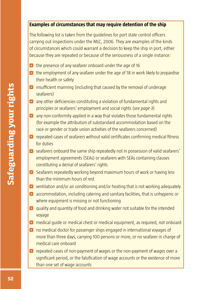### **Examples of circumstances that may require detention of the ship**

The following list is taken from the guidelines for port state control officers carrying out inspections under the MLC, 2006. They are examples of the kinds of circumstances which could warrant a decision to keep the ship in port, either because they are repeated or because of the seriousness of a single instance:

- **•** the presence of any seafarer onboard under the age of 16
- **•** the employment of any seafarer under the age of 18 in work likely to jeopardise their health or safety
- $\bullet$  insufficient manning (including that caused by the removal of underage seafarers)
- **•** any other deficiencies constituting a violation of fundamental rights and principles or seafarers' employment and social rights (*see page 3*)
- **•** any non-conformity applied in a way that violates those fundamental rights (for example the attribution of substandard accommodation based on the race or gender or trade union activities of the seafarers concerned)
- $\bullet$  repeated cases of seafarers without valid certificates confirming medical fitness for duties
- **•** seafarers onboard the same ship repeatedly not in possession of valid seafarers' employment agreements (SEAs) or seafarers with SEAs containing clauses constituting a denial of seafarers' rights
- ^ Seafarers repeatedly working beyond maximum hours of work or having less than the minimum hours of rest
- $\bullet$  ventilation and/or air conditioning and/or heating that is not working adequately
- ^ accommodation, including catering and sanitary facilities, that is unhygienic or where equipment is missing or not functioning
- **O** quality and quantity of food and drinking water not suitable for the intended voyage
- **O** medical guide or medical chest or medical equipment, as required, not onboard
- ^ no medical doctor for passenger ships engaged in international voyages of more than three days, carrying 100 persons or more, or no seafarer in charge of medical care onboard
- ^ repeated cases of non-payment of wages or the non-payment of wages over a significant period, or the falsification of wage accounts or the existence of more than one set of wage accounts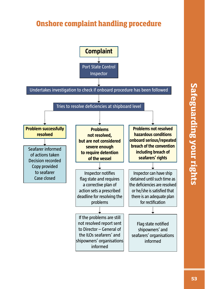# **Onshore complaint handling procedure**

![](_page_62_Figure_1.jpeg)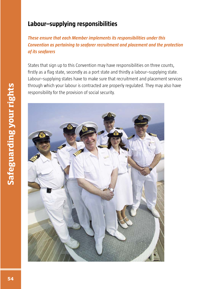# **Labour–supplying responsibilities**

*These ensure that each Member implements its responsibilities under this Convention as pertaining to seafarer recruitment and placement and the protection of its seafarers*

States that sign up to this Convention may have responsibilities on three counts, firstly as a flag state, secondly as a port state and thirdly a labour-supplying state. Labour–supplying states have to make sure that recruitment and placement services through which your labour is contracted are properly regulated. They may also have responsibility for the provision of social security.

![](_page_63_Picture_3.jpeg)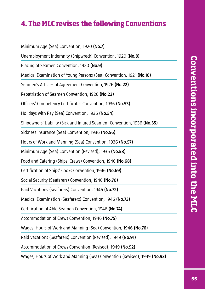# **4. The MLC revises the following Conventions**

Minimum Age (Sea) Convention, 1920 **(No.7)** Unemployment Indemnity (Shipwreck) Convention, 1920 **(No.8)**  Placing of Seamen Convention, 1920 **(No.9)** Medical Examination of Young Persons (Sea) Convention, 1921 **(No.16)**  Seamen's Articles of Agreement Convention, 1926 **(No.22)** Repatriation of Seamen Convention, 1926 **(No.23)** Officers' Competency Certificates Convention, 1936 (No.53) Holidays with Pay (Sea) Convention, 1936 **(No.54)** Shipowners' Liability (Sick and Injured Seamen) Convention, 1936 **(No.55)**  Sickness Insurance (Sea) Convention, 1936 **(No.56)** Hours of Work and Manning (Sea) Convention, 1936 **(No.57)**  Minimum Age (Sea) Convention (Revised), 1936 **(No.58)**  Food and Catering (Ships' Crews) Convention, 1946 **(No.68)**  Certification of Ships' Cooks Convention, 1946 **(No.69)** Social Security (Seafarers) Convention, 1946 **(No.70)** Paid Vacations (Seafarers) Convention, 1946 **(No.72)**  Medical Examination (Seafarers) Convention, 1946 **(No.73)**  Certification of Able Seamen Convention, 1946 (No.74) Accommodation of Crews Convention, 1946 **(No.75)** Wages, Hours of Work and Manning (Sea) Convention, 1946 **(No.76)**  Paid Vacations (Seafarers) Convention (Revised), 1949 **(No.91)**  Accommodation of Crews Convention (Revised), 1949 **(No.92)** Wages, Hours of Work and Manning (Sea) Convention (Revised), 1949 **(No.93)**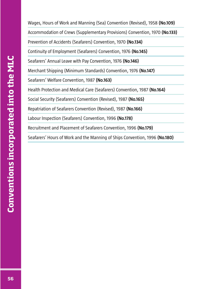Wages, Hours of Work and Manning (Sea) Convention (Revised), 1958 **(No.109)**  Accommodation of Crews (Supplementary Provisions) Convention, 1970 **(No.133)**  Prevention of Accidents (Seafarers) Convention, 1970 **(No.134)** Continuity of Employment (Seafarers) Convention, 1976 **(No.145)**  Seafarers' Annual Leave with Pay Convention, 1976 **(No.146)**  Merchant Shipping (Minimum Standards) Convention, 1976 **(No.147)**  Seafarers' Welfare Convention, 1987 **(No.163)** Health Protection and Medical Care (Seafarers) Convention, 1987 **(No.164)**  Social Security (Seafarers) Convention (Revised), 1987 **(No.165)**  Repatriation of Seafarers Convention (Revised), 1987 **(No.166)** Labour Inspection (Seafarers) Convention, 1996 **(No.178)**  Recruitment and Placement of Seafarers Convention, 1996 **(No.179)** Seafarers' Hours of Work and the Manning of Ships Convention, 1996 **(No.180)**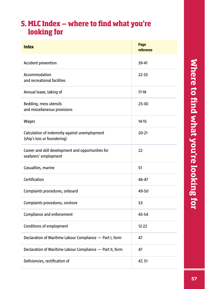# **5. MLC Index ‒ where to fi nd what you're looking for**

| <b>Index</b>                                                                 | Page<br>reference |
|------------------------------------------------------------------------------|-------------------|
| <b>Accident prevention</b>                                                   | 39-41             |
| Accommodation<br>and recreational facilities                                 | $22 - 33$         |
| Annual leave, taking of                                                      | $17-18$           |
| Bedding, mess utensils<br>and miscellaneous provisions                       | $25 - 30$         |
| <b>Wages</b>                                                                 | $14-15$           |
| Calculation of indemnity against unemployment<br>(ship's loss or foundering) | $20 - 21$         |
| Career and skill development and opportunities for<br>seafarers' employment  | 22                |
| Casualties, marine                                                           | 51                |
| Certification                                                                | 46-47             |
| Complaints procedures, onboard                                               | 49-50             |
| Complaints procedures, onshore                                               | 53                |
| Compliance and enforcement                                                   | 45-54             |
| <b>Conditions of employment</b>                                              | $12 - 22$         |
| Declaration of Maritime Labour Compliance - Part I, form                     | 47                |
| Declaration of Maritime Labour Compliance - Part II, form                    | 47                |
| Deficiencies, rectification of                                               | 47, 51            |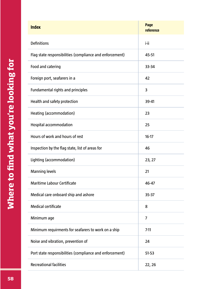| <b>Index</b>                                             | Page<br>reference |
|----------------------------------------------------------|-------------------|
| <b>Definitions</b>                                       | i-ii              |
| Flag state responsibilities (compliance and enforcement) | 45-51             |
| Food and catering                                        | 33-34             |
| Foreign port, seafarers in a                             | 42                |
| <b>Fundamental rights and principles</b>                 | 3                 |
| Health and safety protection                             | 39-41             |
| Heating (accommodation)                                  | 23                |
| <b>Hospital accommodation</b>                            | 25                |
| Hours of work and hours of rest                          | $16-17$           |
| Inspection by the flag state, list of areas for          | 46                |
| Lighting (accommodation)                                 | 23, 27            |
| <b>Manning levels</b>                                    | 21                |
| <b>Maritime Labour Certificate</b>                       | 46-47             |
| Medical care onboard ship and ashore                     | $35 - 37$         |
| <b>Medical certificate</b>                               | 8                 |
| Minimum age                                              | $\overline{7}$    |
| Minimum requirments for seafarers to work on a ship      | $7 - 11$          |
| Noise and vibration, prevention of                       | 24                |
| Port state responsibilities (compliance and enforcement) | $51 - 53$         |
| <b>Recreational facilities</b>                           | 22, 26            |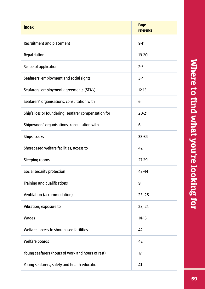| <b>Index</b>                                         | Page<br>reference |
|------------------------------------------------------|-------------------|
| Recruitment and placement                            | $9 - 11$          |
| Repatriation                                         | 19-20             |
| Scope of application                                 | $2 - 3$           |
| Seafarers' employment and social rights              | $3 - 4$           |
| Seafarers' employment agreements (SEA's)             | $12 - 13$         |
| Seafarers' organisations, consultation with          | 6                 |
| Ship's loss or foundering, seafarer compensation for | $20 - 21$         |
| Shipowners' organisations, consultation with         | 6                 |
| Ships' cooks                                         | 33-34             |
| Shorebased welfare facilities, access to             | 42                |
| Sleeping rooms                                       | 27-29             |
| Social security protection                           | 43-44             |
| Training and qualifications                          | 9                 |
| Ventilation (accommodation)                          | 23, 28            |
| Vibration, exposure to                               | 23, 24            |
| <b>Wages</b>                                         | $14 - 15$         |
| Welfare, access to shorebased facilities             | 42                |
| <b>Welfare boards</b>                                | 42                |
| Young seafarers (hours of work and hours of rest)    | 17                |
| Young seafarers, safety and health education         | 41                |